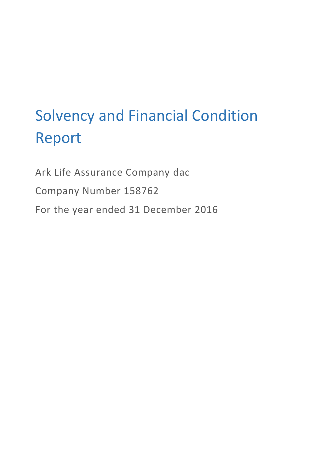# Solvency and Financial Condition Report

Ark Life Assurance Company dac Company Number 158762 For the year ended 31 December 2016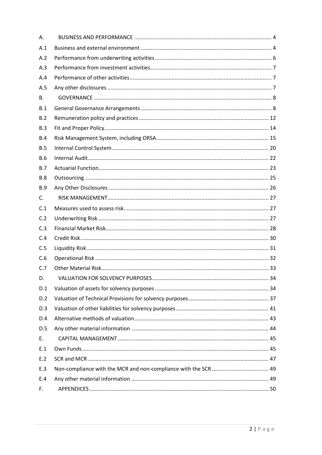| Α.         |  |
|------------|--|
| A.1        |  |
| A.2        |  |
| A.3        |  |
| A.4        |  |
| A.5        |  |
| <b>B.</b>  |  |
| B.1        |  |
| B.2        |  |
| B.3        |  |
| B.4        |  |
| B.5        |  |
| <b>B.6</b> |  |
| B.7        |  |
| <b>B.8</b> |  |
| <b>B.9</b> |  |
| C.         |  |
| C.1        |  |
| C.2        |  |
| C.3        |  |
| C.4        |  |
| C.5        |  |
| C.6        |  |
| C.7        |  |
| D.         |  |
| D.1        |  |
| D.2        |  |
| D.3        |  |
| D.4        |  |
| D.5        |  |
| E.         |  |
| E.1        |  |
| E.2        |  |
| E.3        |  |
| E.4        |  |
| F.         |  |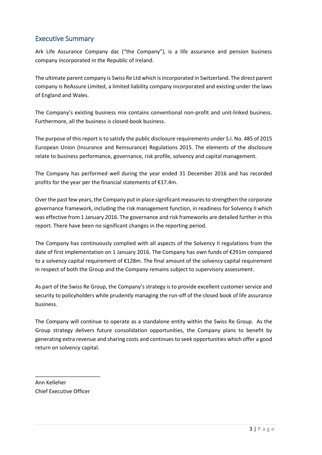# Executive Summary

Ark Life Assurance Company dac ("the Company"), is a life assurance and pension business company incorporated in the Republic of Ireland.

The ultimate parent company is Swiss Re Ltd which is incorporated in Switzerland. The direct parent company is ReAssure Limited, a limited liability company incorporated and existing under the laws of England and Wales.

The Company's existing business mix contains conventional non-profit and unit-linked business. Furthermore, all the business is closed-book business.

The purpose of this report is to satisfy the public disclosure requirements under S.I. No. 485 of 2015 European Union (Insurance and Reinsurance) Regulations 2015. The elements of the disclosure relate to business performance, governance, risk profile, solvency and capital management.

The Company has performed well during the year ended 31 December 2016 and has recorded profits for the year per the financial statements of €17.4m.

Over the past few years, the Company put in place significant measures to strengthen the corporate governance framework, including the risk management function, in readiness for Solvency II which was effective from 1 January 2016. The governance and risk frameworks are detailed further in this report. There have been no significant changes in the reporting period.

The Company has continuously complied with all aspects of the Solvency II regulations from the date of first implementation on 1 January 2016. The Company has own funds of €291m compared to a solvency capital requirement of €128m. The final amount of the solvency capital requirement in respect of both the Group and the Company remains subject to supervisory assessment.

As part of the Swiss Re Group, the Company's strategy is to provide excellent customer service and security to policyholders while prudently managing the run-off of the closed book of life assurance business.

The Company will continue to operate as a standalone entity within the Swiss Re Group. As the Group strategy delivers future consolidation opportunities, the Company plans to benefit by generating extra revenue and sharing costs and continues to seek opportunities which offer a good return on solvency capital.

Ann Kelleher Chief Executive Officer

\_\_\_\_\_\_\_\_\_\_\_\_\_\_\_\_\_\_\_\_\_\_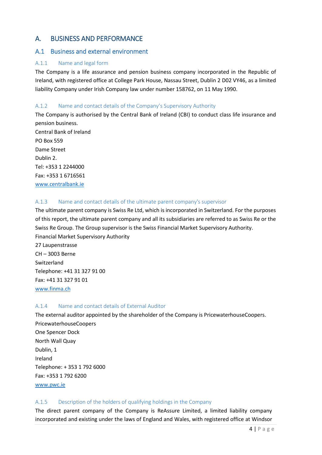## <span id="page-3-0"></span>A. BUSINESS AND PERFORMANCE

## <span id="page-3-1"></span>A.1 Business and external environment

## A.1.1 Name and legal form

The Company is a life assurance and pension business company incorporated in the Republic of Ireland, with registered office at College Park House, Nassau Street, Dublin 2 D02 VY46, as a limited liability Company under Irish Company law under number 158762, on 11 May 1990.

## A.1.2 Name and contact details of the Company's Supervisory Authority

The Company is authorised by the Central Bank of Ireland (CBI) to conduct class life insurance and pension business. Central Bank of Ireland PO Box 559 Dame Street Dublin 2. Tel: +353 1 2244000 Fax: +353 1 6716561

[www.centralbank.ie](http://www.centralbank.ie/)

## A.1.3 Name and contact details of the ultimate parent company's supervisor

The ultimate parent company is Swiss Re Ltd, which is incorporated in Switzerland. For the purposes of this report, the ultimate parent company and all its subsidiaries are referred to as Swiss Re or the Swiss Re Group. The Group supervisor is the Swiss Financial Market Supervisory Authority. Financial Market Supervisory Authority

27 Laupenstrasse CH – 3003 Berne Switzerland Telephone: +41 31 327 91 00 Fax: +41 31 327 91 01 www.finma.ch

#### A.1.4 Name and contact details of External Auditor

The external auditor appointed by the shareholder of the Company is PricewaterhouseCoopers. PricewaterhouseCoopers One Spencer Dock North Wall Quay Dublin, 1 Ireland Telephone: + 353 1 792 6000 Fax: +353 1 792 6200 [www.pwc.ie](http://www.pwc.ie/)

## A.1.5 Description of the holders of qualifying holdings in the Company

The direct parent company of the Company is ReAssure Limited, a limited liability company incorporated and existing under the laws of England and Wales, with registered office at Windsor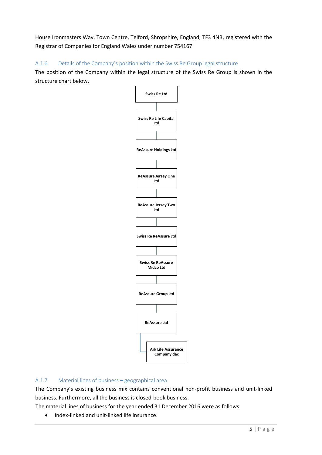House Ironmasters Way, Town Centre, Telford, Shropshire, England, TF3 4NB, registered with the Registrar of Companies for England Wales under number 754167.

A.1.6 Details of the Company's position within the Swiss Re Group legal structure

The position of the Company within the legal structure of the Swiss Re Group is shown in the structure chart below.



# A.1.7 Material lines of business – geographical area

The Company's existing business mix contains conventional non-profit business and unit-linked business. Furthermore, all the business is closed-book business.

The material lines of business for the year ended 31 December 2016 were as follows:

• Index-linked and unit-linked life insurance.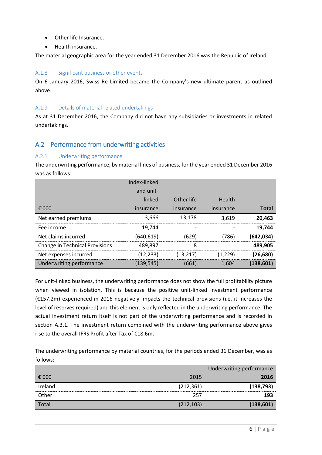- Other life Insurance.
- Health insurance.

The material geographic area for the year ended 31 December 2016 was the Republic of Ireland.

#### A.1.8 Significant business or other events

On 6 January 2016, Swiss Re Limited became the Company's new ultimate parent as outlined above.

#### A.1.9 Details of material related undertakings

As at 31 December 2016, the Company did not have any subsidiaries or investments in related undertakings.

## <span id="page-5-0"></span>A.2 Performance from underwriting activities

#### A.2.1 Underwriting performance

The underwriting performance, by material lines of business, for the year ended 31 December 2016 was as follows:

|                                       | Index-linked |            |           |              |
|---------------------------------------|--------------|------------|-----------|--------------|
|                                       | and unit-    |            |           |              |
|                                       | linked       | Other life | Health    |              |
| €'000                                 | insurance    | insurance  | insurance | <b>Total</b> |
| Net earned premiums                   | 3,666        | 13,178     | 3.619     | 20,463       |
| Fee income                            | 19.744       |            |           | 19.744       |
| Net claims incurred                   | (640,619)    | (629)      | (786)     | (642, 034)   |
| <b>Change in Technical Provisions</b> | 489.897      | 8          |           | 489,905      |
| Net expenses incurred                 | (12, 233)    | (13, 217)  | (1,229)   | (26,680)     |
| Underwriting performance              | (139, 545)   | (661)      | 1.604     | (138, 601)   |

For unit-linked business, the underwriting performance does not show the full profitability picture when viewed in isolation. This is because the positive unit-linked investment performance (€157.2m) experienced in 2016 negatively impacts the technical provisions (i.e. it increases the level of reserves required) and this element is only reflected in the underwriting performance. The actual investment return itself is not part of the underwriting performance and is recorded in section A.3.1. The investment return combined with the underwriting performance above gives rise to the overall IFRS Profit after Tax of €18.6m.

The underwriting performance by material countries, for the periods ended 31 December, was as follows:

|         |            | Underwriting performance |
|---------|------------|--------------------------|
| €'000   | 2015       | 2016                     |
| Ireland | (212, 361) | (138, 793)               |
| Other   | 257        | 193                      |
| Total   | (212, 103) | (138, 601)               |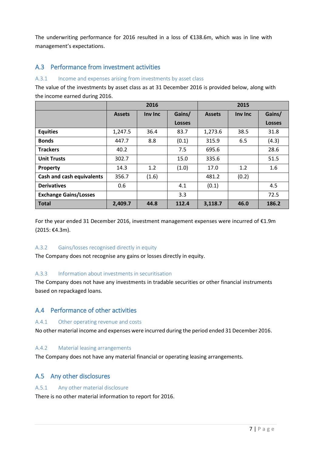The underwriting performance for 2016 resulted in a loss of  $£138.6m$ , which was in line with management's expectations.

## <span id="page-6-0"></span>A.3 Performance from investment activities

#### A.3.1 Income and expenses arising from investments by asset class

The value of the investments by asset class as at 31 December 2016 is provided below, along with the income earned during 2016.

|                                  | 2016          |         |               | 2015          |         |               |
|----------------------------------|---------------|---------|---------------|---------------|---------|---------------|
|                                  | <b>Assets</b> | Inv Inc | Gains/        | <b>Assets</b> | Inv Inc | Gains/        |
|                                  |               |         | <b>Losses</b> |               |         | <b>Losses</b> |
| <b>Equities</b>                  | 1,247.5       | 36.4    | 83.7          | 1,273.6       | 38.5    | 31.8          |
| <b>Bonds</b>                     | 447.7         | 8.8     | (0.1)         | 315.9         | 6.5     | (4.3)         |
| <b>Trackers</b>                  | 40.2          |         | 7.5           | 695.6         |         | 28.6          |
| <b>Unit Trusts</b>               | 302.7         |         | 15.0          | 335.6         |         | 51.5          |
| Property                         | 14.3          | 1.2     | (1.0)         | 17.0          | 1.2     | 1.6           |
| <b>Cash and cash equivalents</b> | 356.7         | (1.6)   |               | 481.2         | (0.2)   |               |
| <b>Derivatives</b>               | 0.6           |         | 4.1           | (0.1)         |         | 4.5           |
| <b>Exchange Gains/Losses</b>     |               |         | 3.3           |               |         | 72.5          |
| <b>Total</b>                     | 2,409.7       | 44.8    | 112.4         | 3,118.7       | 46.0    | 186.2         |

For the year ended 31 December 2016, investment management expenses were incurred of €1.9m (2015: €4.3m).

#### A.3.2 Gains/losses recognised directly in equity

The Company does not recognise any gains or losses directly in equity.

#### A.3.3 Information about investments in securitisation

The Company does not have any investments in tradable securities or other financial instruments based on repackaged loans.

## <span id="page-6-1"></span>A.4 Performance of other activities

#### A.4.1 Other operating revenue and costs

No other material income and expenses were incurred during the period ended 31 December 2016.

## A.4.2 Material leasing arrangements

The Company does not have any material financial or operating leasing arrangements.

## <span id="page-6-2"></span>A.5 Any other disclosures

#### A.5.1 Any other material disclosure

There is no other material information to report for 2016.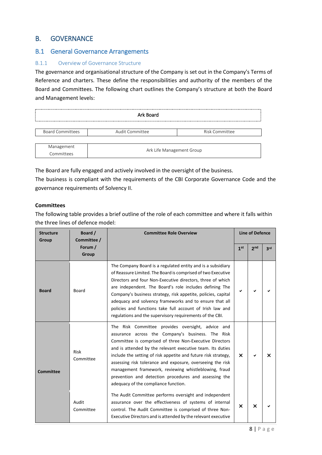## <span id="page-7-0"></span>B. GOVERNANCE

## <span id="page-7-1"></span>B.1 General Governance Arrangements

## B.1.1 Overview of Governance Structure

The governance and organisational structure of the Company is set out in the Company's Terms of Reference and charters. These define the responsibilities and authority of the members of the Board and Committees. The following chart outlines the Company's structure at both the Board and Management levels:

| Ark Board                |                           |                |  |  |  |  |  |
|--------------------------|---------------------------|----------------|--|--|--|--|--|
| <b>Board Committees</b>  | Audit Committee           | Risk Committee |  |  |  |  |  |
| Management<br>Committees | Ark Life Management Group |                |  |  |  |  |  |

The Board are fully engaged and actively involved in the oversight of the business.

The business is compliant with the requirements of the CBI Corporate Governance Code and the governance requirements of Solvency II.

#### **Committees**

The following table provides a brief outline of the role of each committee and where it falls within the three lines of defence model:

| Board /<br><b>Structure</b><br>Committee /<br>Group |                    | <b>Committee Role Overview</b>                                                                                                                                                                                                                                                                                                                                                                                                                                                                                            |                           | <b>Line of Defence</b> |     |  |
|-----------------------------------------------------|--------------------|---------------------------------------------------------------------------------------------------------------------------------------------------------------------------------------------------------------------------------------------------------------------------------------------------------------------------------------------------------------------------------------------------------------------------------------------------------------------------------------------------------------------------|---------------------------|------------------------|-----|--|
|                                                     | Forum /<br>Group   |                                                                                                                                                                                                                                                                                                                                                                                                                                                                                                                           | 1 <sup>st</sup>           | 2 <sub>nd</sub>        | 3rd |  |
| <b>Board</b>                                        | Board              | The Company Board is a regulated entity and is a subsidiary<br>of Reassure Limited. The Board is comprised of two Executive<br>Directors and four Non-Executive directors, three of which<br>are independent. The Board's role includes defining The<br>Company's business strategy, risk appetite, policies, capital<br>adequacy and solvency frameworks and to ensure that all<br>policies and functions take full account of Irish law and<br>regulations and the supervisory requirements of the CBI.                 |                           |                        |     |  |
| <b>Committee</b>                                    | Risk<br>Committee  | The Risk Committee provides oversight, advice and<br>assurance across the Company's business. The Risk<br>Committee is comprised of three Non-Executive Directors<br>and is attended by the relevant executive team. Its duties<br>include the setting of risk appetite and future risk strategy,<br>assessing risk tolerance and exposure, overseeing the risk<br>management framework, reviewing whistleblowing, fraud<br>prevention and detection procedures and assessing the<br>adequacy of the compliance function. | $\boldsymbol{\mathsf{x}}$ |                        | x   |  |
|                                                     | Audit<br>Committee | The Audit Committee performs oversight and independent<br>assurance over the effectiveness of systems of internal<br>control. The Audit Committee is comprised of three Non-<br>Executive Directors and is attended by the relevant executive                                                                                                                                                                                                                                                                             | $\boldsymbol{\times}$     | X                      |     |  |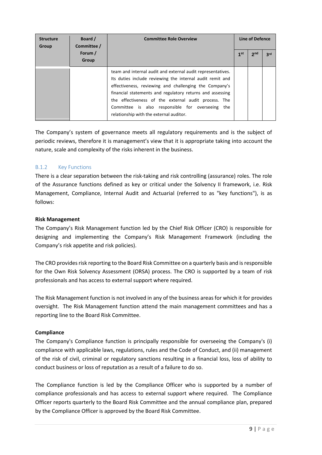| <b>Structure</b><br>Group | Board /<br>Committee / | <b>Committee Role Overview</b>                                                                                                                                                                                                                                                                                                                                                                            |                 | Line of Defence |     |
|---------------------------|------------------------|-----------------------------------------------------------------------------------------------------------------------------------------------------------------------------------------------------------------------------------------------------------------------------------------------------------------------------------------------------------------------------------------------------------|-----------------|-----------------|-----|
|                           | Forum /<br>Group       |                                                                                                                                                                                                                                                                                                                                                                                                           | 1 <sup>st</sup> | 2 <sub>nd</sub> | 3rd |
|                           |                        | team and internal audit and external audit representatives.<br>Its duties include reviewing the internal audit remit and<br>effectiveness, reviewing and challenging the Company's<br>financial statements and regulatory returns and assessing<br>the effectiveness of the external audit process. The<br>Committee is also responsible for overseeing<br>the<br>relationship with the external auditor. |                 |                 |     |

The Company's system of governance meets all regulatory requirements and is the subject of periodic reviews, therefore it is management's view that it is appropriate taking into account the nature, scale and complexity of the risks inherent in the business.

#### B.1.2 Key Functions

There is a clear separation between the risk-taking and risk controlling (assurance) roles. The role of the Assurance functions defined as key or critical under the Solvency II framework, i.e. Risk Management, Compliance, Internal Audit and Actuarial (referred to as "key functions"), is as follows:

#### **Risk Management**

The Company's Risk Management function led by the Chief Risk Officer (CRO) is responsible for designing and implementing the Company's Risk Management Framework (including the Company's risk appetite and risk policies).

The CRO provides risk reporting to the Board Risk Committee on a quarterly basis and is responsible for the Own Risk Solvency Assessment (ORSA) process. The CRO is supported by a team of risk professionals and has access to external support where required.

The Risk Management function is not involved in any of the business areas for which it for provides oversight. The Risk Management function attend the main management committees and has a reporting line to the Board Risk Committee.

#### **Compliance**

The Company's Compliance function is principally responsible for overseeing the Company's (i) compliance with applicable laws, regulations, rules and the Code of Conduct, and (ii) management of the risk of civil, criminal or regulatory sanctions resulting in a financial loss, loss of ability to conduct business or loss of reputation as a result of a failure to do so.

The Compliance function is led by the Compliance Officer who is supported by a number of compliance professionals and has access to external support where required. The Compliance Officer reports quarterly to the Board Risk Committee and the annual compliance plan, prepared by the Compliance Officer is approved by the Board Risk Committee.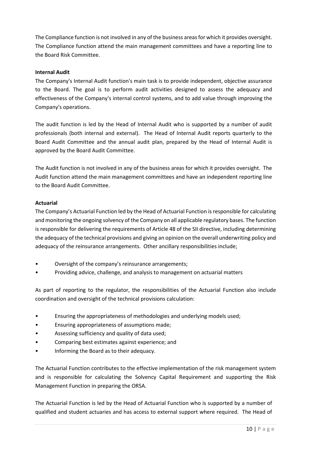The Compliance function is not involved in any of the business areas for which it provides oversight. The Compliance function attend the main management committees and have a reporting line to the Board Risk Committee.

#### **Internal Audit**

The Company's Internal Audit function's main task is to provide independent, objective assurance to the Board. The goal is to perform audit activities designed to assess the adequacy and effectiveness of the Company's internal control systems, and to add value through improving the Company's operations.

The audit function is led by the Head of Internal Audit who is supported by a number of audit professionals (both internal and external). The Head of Internal Audit reports quarterly to the Board Audit Committee and the annual audit plan, prepared by the Head of Internal Audit is approved by the Board Audit Committee.

The Audit function is not involved in any of the business areas for which it provides oversight. The Audit function attend the main management committees and have an independent reporting line to the Board Audit Committee.

#### **Actuarial**

The Company's Actuarial Function led by the Head of Actuarial Function is responsible for calculating and monitoring the ongoing solvency of the Company on all applicable regulatory bases. The function is responsible for delivering the requirements of Article 48 of the SII directive, including determining the adequacy of the technical provisions and giving an opinion on the overall underwriting policy and adequacy of the reinsurance arrangements. Other ancillary responsibilities include;

- Oversight of the company's reinsurance arrangements;
- Providing advice, challenge, and analysis to management on actuarial matters

As part of reporting to the regulator, the responsibilities of the Actuarial Function also include coordination and oversight of the technical provisions calculation:

- Ensuring the appropriateness of methodologies and underlying models used;
- Ensuring appropriateness of assumptions made;
- Assessing sufficiency and quality of data used;
- Comparing best estimates against experience; and
- Informing the Board as to their adequacy.

The Actuarial Function contributes to the effective implementation of the risk management system and is responsible for calculating the Solvency Capital Requirement and supporting the Risk Management Function in preparing the ORSA.

The Actuarial Function is led by the Head of Actuarial Function who is supported by a number of qualified and student actuaries and has access to external support where required. The Head of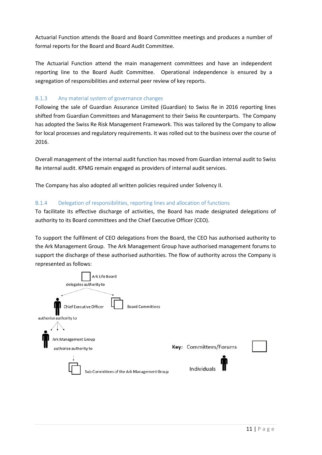Actuarial Function attends the Board and Board Committee meetings and produces a number of formal reports for the Board and Board Audit Committee.

The Actuarial Function attend the main management committees and have an independent reporting line to the Board Audit Committee. Operational independence is ensured by a segregation of responsibilities and external peer review of key reports.

## B.1.3 Any material system of governance changes

Following the sale of Guardian Assurance Limited (Guardian) to Swiss Re in 2016 reporting lines shifted from Guardian Committees and Management to their Swiss Re counterparts. The Company has adopted the Swiss Re Risk Management Framework. This was tailored by the Company to allow for local processes and regulatory requirements. It was rolled out to the business over the course of 2016.

Overall management of the internal audit function has moved from Guardian internal audit to Swiss Re internal audit. KPMG remain engaged as providers of internal audit services.

The Company has also adopted all written policies required under Solvency II.

#### B.1.4 Delegation of responsibilities, reporting lines and allocation of functions

To facilitate its effective discharge of activities, the Board has made designated delegations of authority to its Board committees and the Chief Executive Officer (CEO).

To support the fulfilment of CEO delegations from the Board, the CEO has authorised authority to the Ark Management Group. The Ark Management Group have authorised management forums to support the discharge of these authorised authorities. The flow of authority across the Company is represented as follows:

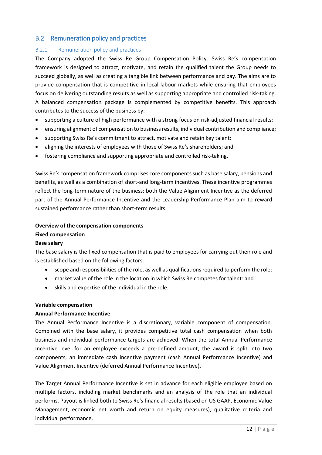## <span id="page-11-0"></span>B.2 Remuneration policy and practices

#### B.2.1 Remuneration policy and practices

The Company adopted the Swiss Re Group Compensation Policy. Swiss Re's compensation framework is designed to attract, motivate, and retain the qualified talent the Group needs to succeed globally, as well as creating a tangible link between performance and pay. The aims are to provide compensation that is competitive in local labour markets while ensuring that employees focus on delivering outstanding results as well as supporting appropriate and controlled risk-taking. A balanced compensation package is complemented by competitive benefits. This approach contributes to the success of the business by:

- supporting a culture of high performance with a strong focus on risk-adjusted financial results;
- ensuring alignment of compensation to business results, individual contribution and compliance;
- supporting Swiss Re's commitment to attract, motivate and retain key talent;
- aligning the interests of employees with those of Swiss Re's shareholders; and
- fostering compliance and supporting appropriate and controlled risk-taking.

Swiss Re's compensation framework comprises core components such as base salary, pensions and benefits, as well as a combination of short-and long-term incentives. These incentive programmes reflect the long-term nature of the business: both the Value Alignment Incentive as the deferred part of the Annual Performance Incentive and the Leadership Performance Plan aim to reward sustained performance rather than short-term results.

## **Overview of the compensation components**

## **Fixed compensation**

#### **Base salary**

The base salary is the fixed compensation that is paid to employees for carrying out their role and is established based on the following factors:

- scope and responsibilities of the role, as well as qualifications required to perform the role;
- market value of the role in the location in which Swiss Re competes for talent: and
- skills and expertise of the individual in the role.

#### **Variable compensation**

#### **Annual Performance Incentive**

The Annual Performance Incentive is a discretionary, variable component of compensation. Combined with the base salary, it provides competitive total cash compensation when both business and individual performance targets are achieved. When the total Annual Performance Incentive level for an employee exceeds a pre-defined amount, the award is split into two components, an immediate cash incentive payment (cash Annual Performance Incentive) and Value Alignment Incentive (deferred Annual Performance Incentive).

The Target Annual Performance Incentive is set in advance for each eligible employee based on multiple factors, including market benchmarks and an analysis of the role that an individual performs. Payout is linked both to Swiss Re's financial results (based on US GAAP, Economic Value Management, economic net worth and return on equity measures), qualitative criteria and individual performance.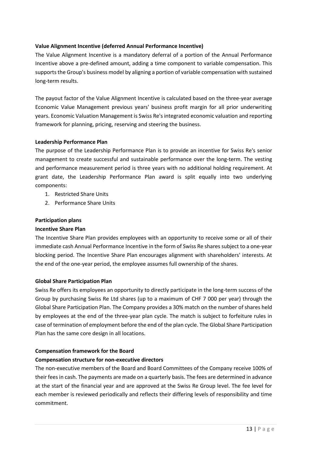#### **Value Alignment Incentive (deferred Annual Performance Incentive)**

The Value Alignment Incentive is a mandatory deferral of a portion of the Annual Performance Incentive above a pre-defined amount, adding a time component to variable compensation. This supports the Group's business model by aligning a portion of variable compensation with sustained long-term results.

The payout factor of the Value Alignment Incentive is calculated based on the three-year average Economic Value Management previous years' business profit margin for all prior underwriting years. Economic Valuation Management is Swiss Re's integrated economic valuation and reporting framework for planning, pricing, reserving and steering the business.

#### **Leadership Performance Plan**

The purpose of the Leadership Performance Plan is to provide an incentive for Swiss Re's senior management to create successful and sustainable performance over the long-term. The vesting and performance measurement period is three years with no additional holding requirement. At grant date, the Leadership Performance Plan award is split equally into two underlying components:

- 1. Restricted Share Units
- 2. Performance Share Units

## **Participation plans**

## **Incentive Share Plan**

The Incentive Share Plan provides employees with an opportunity to receive some or all of their immediate cash Annual Performance Incentive in the form of Swiss Re shares subject to a one-year blocking period. The Incentive Share Plan encourages alignment with shareholders' interests. At the end of the one-year period, the employee assumes full ownership of the shares.

## **Global Share Participation Plan**

Swiss Re offers its employees an opportunity to directly participate in the long-term success of the Group by purchasing Swiss Re Ltd shares (up to a maximum of CHF 7 000 per year) through the Global Share Participation Plan. The Company provides a 30% match on the number of shares held by employees at the end of the three-year plan cycle. The match is subject to forfeiture rules in case of termination of employment before the end of the plan cycle. The Global Share Participation Plan has the same core design in all locations.

## **Compensation framework for the Board**

## **Compensation structure for non-executive directors**

The non-executive members of the Board and Board Committees of the Company receive 100% of their fees in cash. The payments are made on a quarterly basis. The fees are determined in advance at the start of the financial year and are approved at the Swiss Re Group level. The fee level for each member is reviewed periodically and reflects their differing levels of responsibility and time commitment.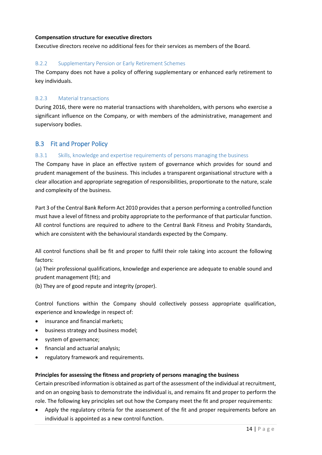#### **Compensation structure for executive directors**

Executive directors receive no additional fees for their services as members of the Board.

## B.2.2 Supplementary Pension or Early Retirement Schemes

The Company does not have a policy of offering supplementary or enhanced early retirement to key individuals.

## B.2.3 Material transactions

During 2016, there were no material transactions with shareholders, with persons who exercise a significant influence on the Company, or with members of the administrative, management and supervisory bodies.

## <span id="page-13-0"></span>B.3 Fit and Proper Policy

## B.3.1 Skills, knowledge and expertise requirements of persons managing the business

The Company have in place an effective system of governance which provides for sound and prudent management of the business. This includes a transparent organisational structure with a clear allocation and appropriate segregation of responsibilities, proportionate to the nature, scale and complexity of the business.

Part 3 of the Central Bank Reform Act 2010 provides that a person performing a controlled function must have a level of fitness and probity appropriate to the performance of that particular function. All control functions are required to adhere to the Central Bank Fitness and Probity Standards, which are consistent with the behavioural standards expected by the Company.

All control functions shall be fit and proper to fulfil their role taking into account the following factors:

(a) Their professional qualifications, knowledge and experience are adequate to enable sound and prudent management (fit); and

(b) They are of good repute and integrity (proper).

Control functions within the Company should collectively possess appropriate qualification, experience and knowledge in respect of:

- insurance and financial markets;
- **•** business strategy and business model;
- system of governance;
- financial and actuarial analysis;
- regulatory framework and requirements.

#### **Principles for assessing the fitness and propriety of persons managing the business**

Certain prescribed information is obtained as part of the assessment of the individual at recruitment, and on an ongoing basis to demonstrate the individual is, and remains fit and proper to perform the role. The following key principles set out how the Company meet the fit and proper requirements:

 Apply the regulatory criteria for the assessment of the fit and proper requirements before an individual is appointed as a new control function.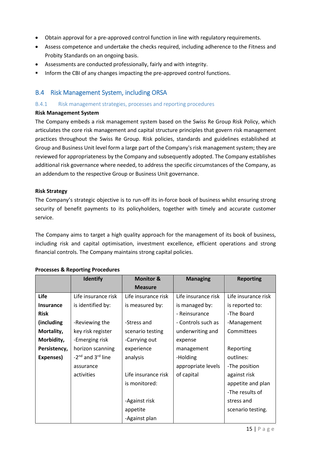- Obtain approval for a pre-approved control function in line with regulatory requirements.
- Assess competence and undertake the checks required, including adherence to the Fitness and Probity Standards on an ongoing basis.
- Assessments are conducted professionally, fairly and with integrity.
- Inform the CBI of any changes impacting the pre-approved control functions.

## <span id="page-14-0"></span>B.4 Risk Management System, including ORSA

#### B.4.1 Risk management strategies, processes and reporting procedures

#### **Risk Management System**

The Company embeds a risk management system based on the Swiss Re Group Risk Policy, which articulates the core risk management and capital structure principles that govern risk management practices throughout the Swiss Re Group. Risk policies, standards and guidelines established at Group and Business Unit level form a large part of the Company's risk management system; they are reviewed for appropriateness by the Company and subsequently adopted. The Company establishes additional risk governance where needed, to address the specific circumstances of the Company, as an addendum to the respective Group or Business Unit governance.

#### **Risk Strategy**

The Company's strategic objective is to run-off its in-force book of business whilst ensuring strong security of benefit payments to its policyholders, together with timely and accurate customer service.

The Company aims to target a high quality approach for the management of its book of business, including risk and capital optimisation, investment excellence, efficient operations and strong financial controls. The Company maintains strong capital policies.

|                  | <b>Identify</b>                           | <b>Monitor &amp;</b> | <b>Managing</b>     | <b>Reporting</b>    |
|------------------|-------------------------------------------|----------------------|---------------------|---------------------|
|                  |                                           | <b>Measure</b>       |                     |                     |
| Life             | Life insurance risk                       | Life insurance risk  | Life insurance risk | Life insurance risk |
| <b>Insurance</b> | is identified by:                         | is measured by:      | is managed by:      | is reported to:     |
| <b>Risk</b>      |                                           |                      | - Reinsurance       | -The Board          |
| (including       | -Reviewing the                            | -Stress and          | - Controls such as  | -Management         |
| Mortality,       | key risk register                         | scenario testing     | underwriting and    | Committees          |
| Morbidity,       | -Emerging risk                            | -Carrying out        | expense             |                     |
| Persistency,     | horizon scanning                          | experience           | management          | Reporting           |
| Expenses)        | -2 <sup>nd</sup> and 3 <sup>rd</sup> line | analysis             | -Holding            | outlines:           |
|                  | assurance                                 |                      | appropriate levels  | -The position       |
|                  | activities                                | Life insurance risk  | of capital          | against risk        |
|                  |                                           | is monitored:        |                     | appetite and plan   |
|                  |                                           |                      |                     | -The results of     |
|                  |                                           | -Against risk        |                     | stress and          |
|                  |                                           | appetite             |                     | scenario testing.   |
|                  |                                           | -Against plan        |                     |                     |

#### **Processes & Reporting Procedures**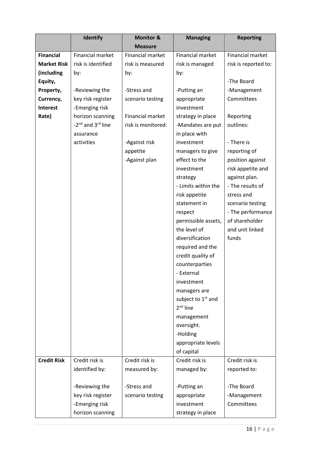| <b>Measure</b>                                                                                          |  |
|---------------------------------------------------------------------------------------------------------|--|
|                                                                                                         |  |
| <b>Financial</b><br>Financial market<br><b>Financial market</b><br>Financial market<br>Financial market |  |
| <b>Market Risk</b><br>risk is identified<br>risk is reported to:<br>risk is measured<br>risk is managed |  |
| (including<br>by:<br>by:<br>by:                                                                         |  |
| -The Board<br>Equity,                                                                                   |  |
| -Stress and<br>Property,<br>-Reviewing the<br>-Putting an<br>-Management                                |  |
| Committees<br>Currency,<br>key risk register<br>scenario testing<br>appropriate                         |  |
| <b>Interest</b><br>-Emerging risk<br>investment                                                         |  |
| <b>Financial market</b><br>Rate)<br>horizon scanning<br>strategy in place<br>Reporting                  |  |
| -2 <sup>nd</sup> and 3 <sup>rd</sup> line<br>risk is monitored:<br>outlines:<br>-Mandates are put       |  |
| in place with<br>assurance                                                                              |  |
| - There is<br>activities<br>-Against risk<br>investment                                                 |  |
| reporting of<br>appetite<br>managers to give                                                            |  |
| effect to the<br>position against<br>-Against plan                                                      |  |
| risk appetite and<br>investment                                                                         |  |
| against plan.<br>strategy                                                                               |  |
| - The results of<br>- Limits within the                                                                 |  |
| stress and<br>risk appetite                                                                             |  |
| statement in<br>scenario testing                                                                        |  |
| - The performance<br>respect                                                                            |  |
| of shareholder<br>permissible assets,                                                                   |  |
| the level of<br>and unit linked                                                                         |  |
| diversification<br>funds                                                                                |  |
| required and the                                                                                        |  |
| credit quality of                                                                                       |  |
| counterparties                                                                                          |  |
| External                                                                                                |  |
| investment                                                                                              |  |
| managers are                                                                                            |  |
| subject to 1 <sup>st</sup> and                                                                          |  |
| $2nd$ line                                                                                              |  |
| management                                                                                              |  |
| oversight.                                                                                              |  |
| -Holding                                                                                                |  |
| appropriate levels                                                                                      |  |
| of capital<br>Credit risk is                                                                            |  |
| <b>Credit Risk</b><br>Credit risk is<br>Credit risk is<br>Credit risk is                                |  |
| identified by:<br>measured by:<br>managed by:<br>reported to:                                           |  |
| -Reviewing the<br>-Stress and<br>-The Board<br>-Putting an                                              |  |
| key risk register<br>scenario testing<br>appropriate<br>-Management                                     |  |
| -Emerging risk<br>Committees<br>investment                                                              |  |
| horizon scanning<br>strategy in place                                                                   |  |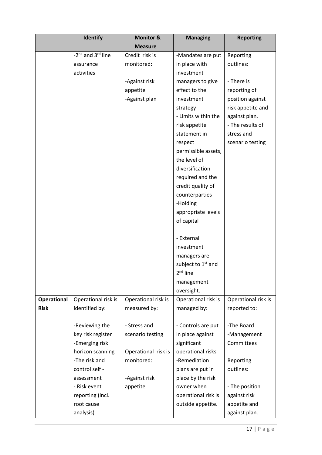|             | <b>Identify</b>                           | <b>Monitor &amp;</b> | <b>Managing</b>                | <b>Reporting</b>    |
|-------------|-------------------------------------------|----------------------|--------------------------------|---------------------|
|             |                                           | <b>Measure</b>       |                                |                     |
|             | -2 <sup>nd</sup> and 3 <sup>rd</sup> line | Credit risk is       | -Mandates are put              | Reporting           |
|             | assurance                                 | monitored:           | in place with                  | outlines:           |
|             | activities                                |                      | investment                     |                     |
|             |                                           | -Against risk        | managers to give               | - There is          |
|             |                                           | appetite             | effect to the                  | reporting of        |
|             |                                           | -Against plan        | investment                     | position against    |
|             |                                           |                      | strategy                       | risk appetite and   |
|             |                                           |                      | - Limits within the            | against plan.       |
|             |                                           |                      | risk appetite                  | - The results of    |
|             |                                           |                      | statement in                   | stress and          |
|             |                                           |                      | respect                        | scenario testing    |
|             |                                           |                      | permissible assets,            |                     |
|             |                                           |                      | the level of                   |                     |
|             |                                           |                      | diversification                |                     |
|             |                                           |                      | required and the               |                     |
|             |                                           |                      | credit quality of              |                     |
|             |                                           |                      | counterparties                 |                     |
|             |                                           |                      | -Holding                       |                     |
|             |                                           |                      | appropriate levels             |                     |
|             |                                           |                      | of capital                     |                     |
|             |                                           |                      |                                |                     |
|             |                                           |                      | - External                     |                     |
|             |                                           |                      | investment                     |                     |
|             |                                           |                      | managers are                   |                     |
|             |                                           |                      | subject to 1 <sup>st</sup> and |                     |
|             |                                           |                      | $2nd$ line                     |                     |
|             |                                           |                      | management                     |                     |
|             |                                           |                      | oversight.                     |                     |
| Operational | Operational risk is                       | Operational risk is  | Operational risk is            | Operational risk is |
| <b>Risk</b> | identified by:                            | measured by:         | managed by:                    | reported to:        |
|             |                                           |                      |                                |                     |
|             | -Reviewing the                            | - Stress and         | - Controls are put             | -The Board          |
|             | key risk register                         | scenario testing     | in place against               | -Management         |
|             | -Emerging risk                            |                      | significant                    | Committees          |
|             | horizon scanning                          | Operational risk is  | operational risks              |                     |
|             | -The risk and                             | monitored:           | -Remediation                   | Reporting           |
|             | control self -                            |                      | plans are put in               | outlines:           |
|             | assessment                                | -Against risk        | place by the risk              |                     |
|             | - Risk event                              | appetite             | owner when                     | - The position      |
|             | reporting (incl.                          |                      | operational risk is            | against risk        |
|             | root cause                                |                      | outside appetite.              | appetite and        |
|             | analysis)                                 |                      |                                | against plan.       |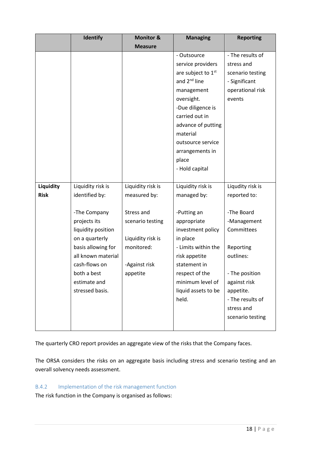|             | <b>Identify</b>    | <b>Monitor &amp;</b> | <b>Managing</b>          | <b>Reporting</b> |
|-------------|--------------------|----------------------|--------------------------|------------------|
|             |                    | <b>Measure</b>       |                          |                  |
|             |                    |                      | - Outsource              | - The results of |
|             |                    |                      | service providers        | stress and       |
|             |                    |                      | are subject to 1st       | scenario testing |
|             |                    |                      | and 2 <sup>nd</sup> line | - Significant    |
|             |                    |                      | management               | operational risk |
|             |                    |                      | oversight.               | events           |
|             |                    |                      | -Due diligence is        |                  |
|             |                    |                      | carried out in           |                  |
|             |                    |                      | advance of putting       |                  |
|             |                    |                      | material                 |                  |
|             |                    |                      | outsource service        |                  |
|             |                    |                      | arrangements in          |                  |
|             |                    |                      | place                    |                  |
|             |                    |                      | - Hold capital           |                  |
|             |                    |                      |                          |                  |
| Liquidity   | Liquidity risk is  | Liquidity risk is    | Liquidity risk is        | Liqudity risk is |
| <b>Risk</b> | identified by:     | measured by:         | managed by:              | reported to:     |
|             |                    |                      |                          |                  |
|             | -The Company       | Stress and           | -Putting an              | -The Board       |
|             | projects its       | scenario testing     | appropriate              | -Management      |
|             | liquidity position |                      | investment policy        | Committees       |
|             | on a quarterly     | Liquidity risk is    | in place                 |                  |
|             | basis allowing for | monitored:           | - Limits within the      | Reporting        |
|             | all known material |                      | risk appetite            | outlines:        |
|             | cash-flows on      | -Against risk        | statement in             |                  |
|             | both a best        | appetite             | respect of the           | - The position   |
|             | estimate and       |                      | minimum level of         | against risk     |
|             | stressed basis.    |                      | liquid assets to be      | appetite.        |
|             |                    |                      | held.                    | - The results of |
|             |                    |                      |                          | stress and       |
|             |                    |                      |                          | scenario testing |
|             |                    |                      |                          |                  |

The quarterly CRO report provides an aggregate view of the risks that the Company faces.

The ORSA considers the risks on an aggregate basis including stress and scenario testing and an overall solvency needs assessment.

## B.4.2 Implementation of the risk management function

The risk function in the Company is organised as follows: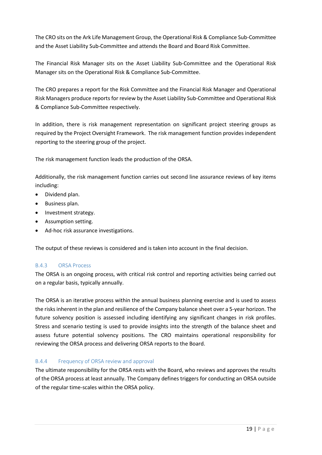The CRO sits on the Ark Life Management Group, the Operational Risk & Compliance Sub-Committee and the Asset Liability Sub-Committee and attends the Board and Board Risk Committee.

The Financial Risk Manager sits on the Asset Liability Sub-Committee and the Operational Risk Manager sits on the Operational Risk & Compliance Sub-Committee.

The CRO prepares a report for the Risk Committee and the Financial Risk Manager and Operational Risk Managers produce reports for review by the Asset Liability Sub-Committee and Operational Risk & Compliance Sub-Committee respectively.

In addition, there is risk management representation on significant project steering groups as required by the Project Oversight Framework. The risk management function provides independent reporting to the steering group of the project.

The risk management function leads the production of the ORSA.

Additionally, the risk management function carries out second line assurance reviews of key items including:

- Dividend plan.
- **•** Business plan.
- Investment strategy.
- Assumption setting.
- Ad-hoc risk assurance investigations.

The output of these reviews is considered and is taken into account in the final decision.

#### B.4.3 ORSA Process

The ORSA is an ongoing process, with critical risk control and reporting activities being carried out on a regular basis, typically annually.

The ORSA is an iterative process within the annual business planning exercise and is used to assess the risks inherent in the plan and resilience of the Company balance sheet over a 5-year horizon. The future solvency position is assessed including identifying any significant changes in risk profiles. Stress and scenario testing is used to provide insights into the strength of the balance sheet and assess future potential solvency positions. The CRO maintains operational responsibility for reviewing the ORSA process and delivering ORSA reports to the Board.

#### B.4.4 Frequency of ORSA review and approval

The ultimate responsibility for the ORSA rests with the Board, who reviews and approves the results of the ORSA process at least annually. The Company defines triggers for conducting an ORSA outside of the regular time-scales within the ORSA policy.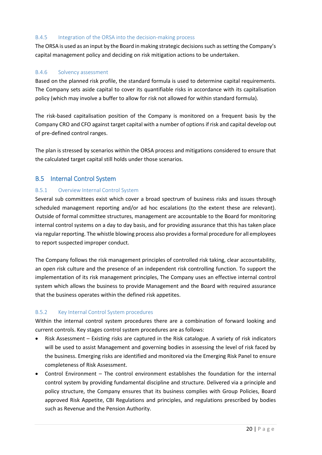#### B.4.5 Integration of the ORSA into the decision-making process

The ORSA is used as an input by the Board in making strategic decisions such as setting the Company's capital management policy and deciding on risk mitigation actions to be undertaken.

#### B.4.6 Solvency assessment

Based on the planned risk profile, the standard formula is used to determine capital requirements. The Company sets aside capital to cover its quantifiable risks in accordance with its capitalisation policy (which may involve a buffer to allow for risk not allowed for within standard formula).

The risk-based capitalisation position of the Company is monitored on a frequent basis by the Company CRO and CFO against target capital with a number of options if risk and capital develop out of pre-defined control ranges.

The plan is stressed by scenarios within the ORSA process and mitigations considered to ensure that the calculated target capital still holds under those scenarios.

## <span id="page-19-0"></span>B.5 Internal Control System

#### B.5.1 Overview Internal Control System

Several sub committees exist which cover a broad spectrum of business risks and issues through scheduled management reporting and/or ad hoc escalations (to the extent these are relevant). Outside of formal committee structures, management are accountable to the Board for monitoring internal control systems on a day to day basis, and for providing assurance that this has taken place via regular reporting. The whistle blowing process also provides a formal procedure for all employees to report suspected improper conduct.

The Company follows the risk management principles of controlled risk taking, clear accountability, an open risk culture and the presence of an independent risk controlling function. To support the implementation of its risk management principles, The Company uses an effective internal control system which allows the business to provide Management and the Board with required assurance that the business operates within the defined risk appetites.

#### B.5.2 Key Internal Control System procedures

Within the internal control system procedures there are a combination of forward looking and current controls. Key stages control system procedures are as follows:

- Risk Assessment Existing risks are captured in the Risk catalogue. A variety of risk indicators will be used to assist Management and governing bodies in assessing the level of risk faced by the business. Emerging risks are identified and monitored via the Emerging Risk Panel to ensure completeness of Risk Assessment.
- Control Environment The control environment establishes the foundation for the internal control system by providing fundamental discipline and structure. Delivered via a principle and policy structure, the Company ensures that its business complies with Group Policies, Board approved Risk Appetite, CBI Regulations and principles, and regulations prescribed by bodies such as Revenue and the Pension Authority.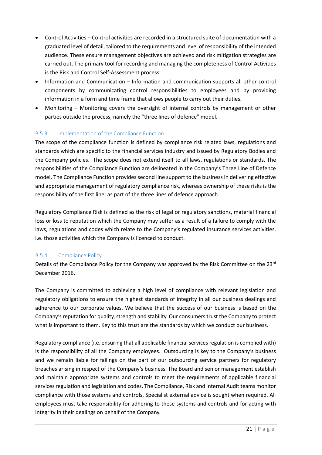- Control Activities Control activities are recorded in a structured suite of documentation with a graduated level of detail, tailored to the requirements and level of responsibility of the intended audience. These ensure management objectives are achieved and risk mitigation strategies are carried out. The primary tool for recording and managing the completeness of Control Activities is the Risk and Control Self-Assessment process.
- Information and Communication Information and communication supports all other control components by communicating control responsibilities to employees and by providing information in a form and time frame that allows people to carry out their duties.
- Monitoring Monitoring covers the oversight of internal controls by management or other parties outside the process, namely the "three lines of defence" model.

## B.5.3 Implementation of the Compliance Function

The scope of the compliance function is defined by compliance risk related laws, regulations and standards which are specific to the financial services industry and issued by Regulatory Bodies and the Company policies. The scope does not extend itself to all laws, regulations or standards. The responsibilities of the Compliance Function are delineated in the Company's Three Line of Defence model. The Compliance Function provides second line support to the business in delivering effective and appropriate management of regulatory compliance risk, whereas ownership of these risks is the responsibility of the first line; as part of the three lines of defence approach.

Regulatory Compliance Risk is defined as the risk of legal or regulatory sanctions, material financial loss or loss to reputation which the Company may suffer as a result of a failure to comply with the laws, regulations and codes which relate to the Company's regulated insurance services activities, i.e. those activities which the Company is licenced to conduct.

#### B.5.4 Compliance Policy

Details of the Compliance Policy for the Company was approved by the Risk Committee on the  $23<sup>rd</sup>$ December 2016.

The Company is committed to achieving a high level of compliance with relevant legislation and regulatory obligations to ensure the highest standards of integrity in all our business dealings and adherence to our corporate values. We believe that the success of our business is based on the Company's reputation for quality, strength and stability. Our consumers trust the Company to protect what is important to them. Key to this trust are the standards by which we conduct our business.

Regulatory compliance (i.e. ensuring that all applicable financial services regulation is complied with) is the responsibility of all the Company employees. Outsourcing is key to the Company's business and we remain liable for failings on the part of our outsourcing service partners for regulatory breaches arising in respect of the Company's business. The Board and senior management establish and maintain appropriate systems and controls to meet the requirements of applicable financial services regulation and legislation and codes. The Compliance, Risk and Internal Audit teams monitor compliance with those systems and controls. Specialist external advice is sought when required. All employees must take responsibility for adhering to these systems and controls and for acting with integrity in their dealings on behalf of the Company.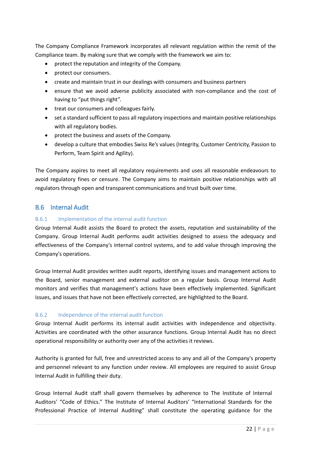The Company Compliance Framework incorporates all relevant regulation within the remit of the Compliance team. By making sure that we comply with the framework we aim to:

- protect the reputation and integrity of the Company.
- protect our consumers.
- create and maintain trust in our dealings with consumers and business partners
- ensure that we avoid adverse publicity associated with non-compliance and the cost of having to "put things right".
- treat our consumers and colleagues fairly.
- set a standard sufficient to pass all regulatory inspections and maintain positive relationships with all regulatory bodies.
- protect the business and assets of the Company.
- develop a culture that embodies Swiss Re's values (Integrity, Customer Centricity, Passion to Perform, Team Spirit and Agility).

The Company aspires to meet all regulatory requirements and uses all reasonable endeavours to avoid regulatory fines or censure. The Company aims to maintain positive relationships with all regulators through open and transparent communications and trust built over time.

## <span id="page-21-0"></span>B.6 Internal Audit

#### B.6.1 Implementation of the internal audit function

Group Internal Audit assists the Board to protect the assets, reputation and sustainability of the Company. Group Internal Audit performs audit activities designed to assess the adequacy and effectiveness of the Company's internal control systems, and to add value through improving the Company's operations.

Group Internal Audit provides written audit reports, identifying issues and management actions to the Board, senior management and external auditor on a regular basis. Group Internal Audit monitors and verifies that management's actions have been effectively implemented. Significant issues, and issues that have not been effectively corrected, are highlighted to the Board.

#### B.6.2 Independence of the internal audit function

Group Internal Audit performs its internal audit activities with independence and objectivity. Activities are coordinated with the other assurance functions. Group Internal Audit has no direct operational responsibility or authority over any of the activities it reviews.

Authority is granted for full, free and unrestricted access to any and all of the Company's property and personnel relevant to any function under review. All employees are required to assist Group Internal Audit in fulfilling their duty.

Group Internal Audit staff shall govern themselves by adherence to The Institute of Internal Auditors' "Code of Ethics." The Institute of Internal Auditors' "International Standards for the Professional Practice of Internal Auditing" shall constitute the operating guidance for the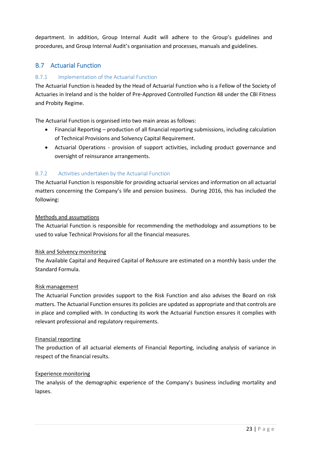department. In addition, Group Internal Audit will adhere to the Group's guidelines and procedures, and Group Internal Audit's organisation and processes, manuals and guidelines.

# <span id="page-22-0"></span>B.7 Actuarial Function

## B.7.1 Implementation of the Actuarial Function

The Actuarial Function is headed by the Head of Actuarial Function who is a Fellow of the Society of Actuaries in Ireland and is the holder of Pre-Approved Controlled Function 48 under the CBI Fitness and Probity Regime.

The Actuarial Function is organised into two main areas as follows:

- Financial Reporting production of all financial reporting submissions, including calculation of Technical Provisions and Solvency Capital Requirement.
- Actuarial Operations provision of support activities, including product governance and oversight of reinsurance arrangements.

## B.7.2 Activities undertaken by the Actuarial Function

The Actuarial Function is responsible for providing actuarial services and information on all actuarial matters concerning the Company's life and pension business. During 2016, this has included the following:

#### Methods and assumptions

The Actuarial Function is responsible for recommending the methodology and assumptions to be used to value Technical Provisions for all the financial measures.

#### Risk and Solvency monitoring

The Available Capital and Required Capital of ReAssure are estimated on a monthly basis under the Standard Formula.

#### Risk management

The Actuarial Function provides support to the Risk Function and also advises the Board on risk matters. The Actuarial Function ensures its policies are updated as appropriate and that controls are in place and complied with. In conducting its work the Actuarial Function ensures it complies with relevant professional and regulatory requirements.

#### Financial reporting

The production of all actuarial elements of Financial Reporting, including analysis of variance in respect of the financial results.

#### Experience monitoring

The analysis of the demographic experience of the Company's business including mortality and lapses.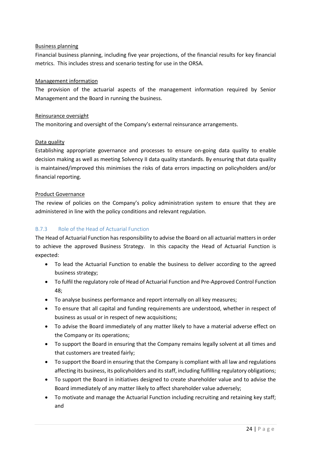#### Business planning

Financial business planning, including five year projections, of the financial results for key financial metrics. This includes stress and scenario testing for use in the ORSA.

## Management information

The provision of the actuarial aspects of the management information required by Senior Management and the Board in running the business.

## Reinsurance oversight

The monitoring and oversight of the Company's external reinsurance arrangements.

## Data quality

Establishing appropriate governance and processes to ensure on-going data quality to enable decision making as well as meeting Solvency II data quality standards. By ensuring that data quality is maintained/improved this minimises the risks of data errors impacting on policyholders and/or financial reporting.

## Product Governance

The review of policies on the Company's policy administration system to ensure that they are administered in line with the policy conditions and relevant regulation.

## B.7.3 Role of the Head of Actuarial Function

The Head of Actuarial Function has responsibility to advise the Board on all actuarial matters in order to achieve the approved Business Strategy. In this capacity the Head of Actuarial Function is expected:

- To lead the Actuarial Function to enable the business to deliver according to the agreed business strategy;
- To fulfil the regulatory role of Head of Actuarial Function and Pre-Approved Control Function 48;
- To analyse business performance and report internally on all key measures;
- To ensure that all capital and funding requirements are understood, whether in respect of business as usual or in respect of new acquisitions;
- To advise the Board immediately of any matter likely to have a material adverse effect on the Company or its operations;
- To support the Board in ensuring that the Company remains legally solvent at all times and that customers are treated fairly;
- To support the Board in ensuring that the Company is compliant with all law and regulations affecting its business, its policyholders and its staff, including fulfilling regulatory obligations;
- To support the Board in initiatives designed to create shareholder value and to advise the Board immediately of any matter likely to affect shareholder value adversely;
- To motivate and manage the Actuarial Function including recruiting and retaining key staff; and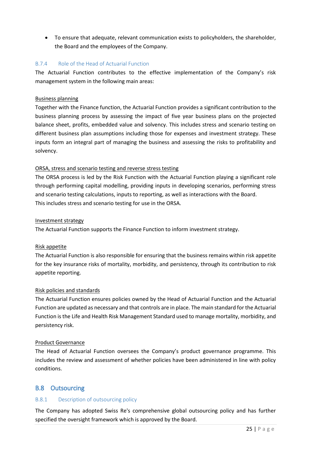To ensure that adequate, relevant communication exists to policyholders, the shareholder, the Board and the employees of the Company.

## B.7.4 Role of the Head of Actuarial Function

The Actuarial Function contributes to the effective implementation of the Company's risk management system in the following main areas:

#### Business planning

Together with the Finance function, the Actuarial Function provides a significant contribution to the business planning process by assessing the impact of five year business plans on the projected balance sheet, profits, embedded value and solvency. This includes stress and scenario testing on different business plan assumptions including those for expenses and investment strategy. These inputs form an integral part of managing the business and assessing the risks to profitability and solvency.

## ORSA, stress and scenario testing and reverse stress testing

The ORSA process is led by the Risk Function with the Actuarial Function playing a significant role through performing capital modelling, providing inputs in developing scenarios, performing stress and scenario testing calculations, inputs to reporting, as well as interactions with the Board. This includes stress and scenario testing for use in the ORSA.

#### Investment strategy

The Actuarial Function supports the Finance Function to inform investment strategy.

#### Risk appetite

The Actuarial Function is also responsible for ensuring that the business remains within risk appetite for the key insurance risks of mortality, morbidity, and persistency, through its contribution to risk appetite reporting.

#### Risk policies and standards

The Actuarial Function ensures policies owned by the Head of Actuarial Function and the Actuarial Function are updated as necessary and that controls are in place. The main standard for the Actuarial Function is the Life and Health Risk Management Standard used to manage mortality, morbidity, and persistency risk.

#### Product Governance

The Head of Actuarial Function oversees the Company's product governance programme. This includes the review and assessment of whether policies have been administered in line with policy conditions.

## <span id="page-24-0"></span>B.8 Outsourcing

## B.8.1 Description of outsourcing policy

The Company has adopted Swiss Re's comprehensive global outsourcing policy and has further specified the oversight framework which is approved by the Board.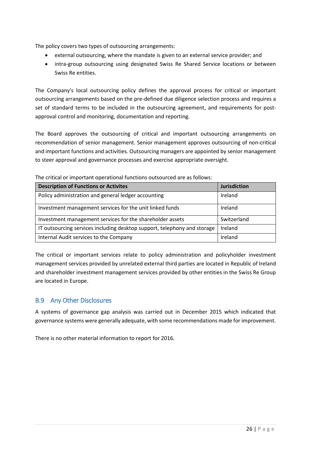The policy covers two types of outsourcing arrangements:

- external outsourcing, where the mandate is given to an external service provider; and
- intra-group outsourcing using designated Swiss Re Shared Service locations or between Swiss Re entities.

The Company's local outsourcing policy defines the approval process for critical or important outsourcing arrangements based on the pre-defined due diligence selection process and requires a set of standard terms to be included in the outsourcing agreement, and requirements for postapproval control and monitoring, documentation and reporting.

The Board approves the outsourcing of critical and important outsourcing arrangements on recommendation of senior management. Senior management approves outsourcing of non-critical and important functions and activities. Outsourcing managers are appointed by senior management to steer approval and governance processes and exercise appropriate oversight.

| <b>Description of Functions or Activites</b>                             | <b>Jurisdiction</b> |  |  |  |  |  |
|--------------------------------------------------------------------------|---------------------|--|--|--|--|--|
| Policy administration and general ledger accounting                      | Ireland             |  |  |  |  |  |
| Investment management services for the unit linked funds                 | Ireland             |  |  |  |  |  |
| Investment management services for the shareholder assets                | Switzerland         |  |  |  |  |  |
| IT outsourcing services including desktop support, telephony and storage | Ireland             |  |  |  |  |  |
| Internal Audit services to the Company                                   | Ireland             |  |  |  |  |  |

The critical or important operational functions outsourced are as follows:

The critical or important services relate to policy administration and policyholder investment management services provided by unrelated external third parties are located in Republic of Ireland and shareholder investment management services provided by other entities in the Swiss Re Group are located in Europe.

## <span id="page-25-0"></span>B.9 Any Other Disclosures

A systems of governance gap analysis was carried out in December 2015 which indicated that governance systems were generally adequate, with some recommendations made for improvement.

There is no other material information to report for 2016.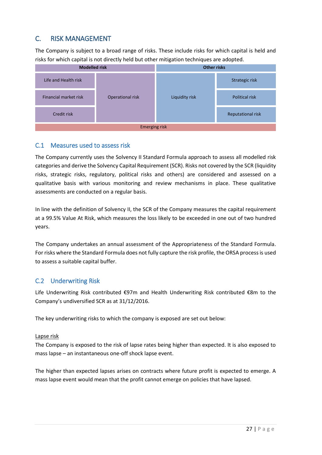# <span id="page-26-0"></span>C. RISK MANAGEMENT

The Company is subject to a broad range of risks. These include risks for which capital is held and risks for which capital is not directly held but other mitigation techniques are adopted.



## <span id="page-26-1"></span>C.1 Measures used to assess risk

The Company currently uses the Solvency II Standard Formula approach to assess all modelled risk categories and derive the Solvency Capital Requirement (SCR). Risks not covered by the SCR (liquidity risks, strategic risks, regulatory, political risks and others) are considered and assessed on a qualitative basis with various monitoring and review mechanisms in place. These qualitative assessments are conducted on a regular basis.

In line with the definition of Solvency II, the SCR of the Company measures the capital requirement at a 99.5% Value At Risk, which measures the loss likely to be exceeded in one out of two hundred years.

The Company undertakes an annual assessment of the Appropriateness of the Standard Formula. For risks where the Standard Formula does not fully capture the risk profile, the ORSA process is used to assess a suitable capital buffer.

## <span id="page-26-2"></span>C.2 Underwriting Risk

Life Underwriting Risk contributed €97m and Health Underwriting Risk contributed €8m to the Company's undiversified SCR as at 31/12/2016.

The key underwriting risks to which the company is exposed are set out below:

## Lapse risk

The Company is exposed to the risk of lapse rates being higher than expected. It is also exposed to mass lapse – an instantaneous one-off shock lapse event.

The higher than expected lapses arises on contracts where future profit is expected to emerge. A mass lapse event would mean that the profit cannot emerge on policies that have lapsed.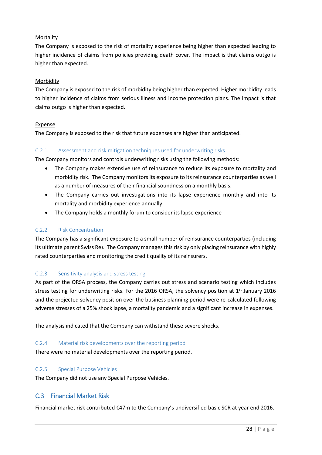#### **Mortality**

The Company is exposed to the risk of mortality experience being higher than expected leading to higher incidence of claims from policies providing death cover. The impact is that claims outgo is higher than expected.

#### Morbidity

The Company is exposed to the risk of morbidity being higher than expected. Higher morbidity leads to higher incidence of claims from serious illness and income protection plans. The impact is that claims outgo is higher than expected.

#### **Expense**

The Company is exposed to the risk that future expenses are higher than anticipated.

#### C.2.1 Assessment and risk mitigation techniques used for underwriting risks

The Company monitors and controls underwriting risks using the following methods:

- The Company makes extensive use of reinsurance to reduce its exposure to mortality and morbidity risk. The Company monitors its exposure to its reinsurance counterparties as well as a number of measures of their financial soundness on a monthly basis.
- The Company carries out investigations into its lapse experience monthly and into its mortality and morbidity experience annually.
- The Company holds a monthly forum to consider its lapse experience

#### C.2.2 Risk Concentration

The Company has a significant exposure to a small number of reinsurance counterparties (including its ultimate parent Swiss Re). The Company manages this risk by only placing reinsurance with highly rated counterparties and monitoring the credit quality of its reinsurers.

#### C.2.3 Sensitivity analysis and stress testing

As part of the ORSA process, the Company carries out stress and scenario testing which includes stress testing for underwriting risks. For the 2016 ORSA, the solvency position at  $1<sup>st</sup>$  January 2016 and the projected solvency position over the business planning period were re-calculated following adverse stresses of a 25% shock lapse, a mortality pandemic and a significant increase in expenses.

The analysis indicated that the Company can withstand these severe shocks.

#### C.2.4 Material risk developments over the reporting period

There were no material developments over the reporting period.

#### C.2.5 Special Purpose Vehicles

The Company did not use any Special Purpose Vehicles.

## <span id="page-27-0"></span>C.3 Financial Market Risk

Financial market risk contributed €47m to the Company's undiversified basic SCR at year end 2016.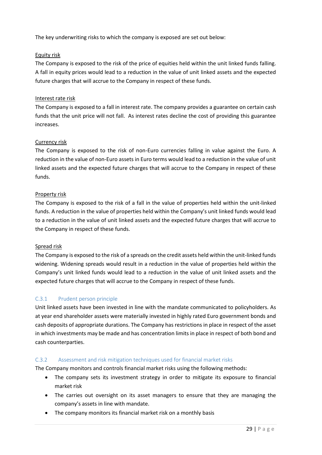The key underwriting risks to which the company is exposed are set out below:

## Equity risk

The Company is exposed to the risk of the price of equities held within the unit linked funds falling. A fall in equity prices would lead to a reduction in the value of unit linked assets and the expected future charges that will accrue to the Company in respect of these funds.

#### Interest rate risk

The Company is exposed to a fall in interest rate. The company provides a guarantee on certain cash funds that the unit price will not fall. As interest rates decline the cost of providing this guarantee increases.

## Currency risk

The Company is exposed to the risk of non-Euro currencies falling in value against the Euro. A reduction in the value of non-Euro assets in Euro terms would lead to a reduction in the value of unit linked assets and the expected future charges that will accrue to the Company in respect of these funds.

## Property risk

The Company is exposed to the risk of a fall in the value of properties held within the unit-linked funds. A reduction in the value of properties held within the Company's unit linked funds would lead to a reduction in the value of unit linked assets and the expected future charges that will accrue to the Company in respect of these funds.

#### Spread risk

The Company is exposed to the risk of a spreads on the credit assets held within the unit-linked funds widening. Widening spreads would result in a reduction in the value of properties held within the Company's unit linked funds would lead to a reduction in the value of unit linked assets and the expected future charges that will accrue to the Company in respect of these funds.

## C.3.1 Prudent person principle

Unit linked assets have been invested in line with the mandate communicated to policyholders. As at year end shareholder assets were materially invested in highly rated Euro government bonds and cash deposits of appropriate durations. The Company has restrictions in place in respect of the asset in which investments may be made and has concentration limits in place in respect of both bond and cash counterparties.

## C.3.2 Assessment and risk mitigation techniques used for financial market risks

The Company monitors and controls financial market risks using the following methods:

- The company sets its investment strategy in order to mitigate its exposure to financial market risk
- The carries out oversight on its asset managers to ensure that they are managing the company's assets in line with mandate.
- The company monitors its financial market risk on a monthly basis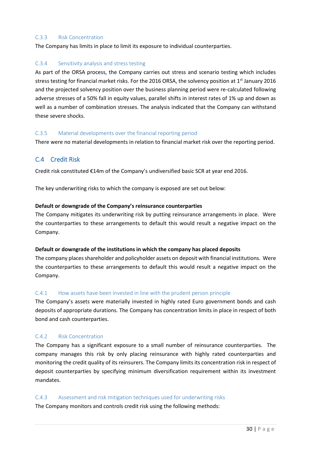#### C.3.3 Risk Concentration

The Company has limits in place to limit its exposure to individual counterparties.

#### C.3.4 Sensitivity analysis and stress testing

As part of the ORSA process, the Company carries out stress and scenario testing which includes stress testing for financial market risks. For the 2016 ORSA, the solvency position at  $1<sup>st</sup>$  January 2016 and the projected solvency position over the business planning period were re-calculated following adverse stresses of a 50% fall in equity values, parallel shifts in interest rates of 1% up and down as well as a number of combination stresses. The analysis indicated that the Company can withstand these severe shocks.

#### C.3.5 Material developments over the financial reporting period

There were no material developments in relation to financial market risk over the reporting period.

## <span id="page-29-0"></span>C.4 Credit Risk

Credit risk constituted €14m of the Company's undiversified basic SCR at year end 2016.

The key underwriting risks to which the company is exposed are set out below:

#### **Default or downgrade of the Company's reinsurance counterparties**

The Company mitigates its underwriting risk by putting reinsurance arrangements in place. Were the counterparties to these arrangements to default this would result a negative impact on the Company.

#### **Default or downgrade of the institutions in which the company has placed deposits**

The company places shareholder and policyholder assets on deposit with financial institutions. Were the counterparties to these arrangements to default this would result a negative impact on the Company.

#### C.4.1 How assets have been invested in line with the prudent person principle

The Company's assets were materially invested in highly rated Euro government bonds and cash deposits of appropriate durations. The Company has concentration limits in place in respect of both bond and cash counterparties.

#### C.4.2 Risk Concentration

The Company has a significant exposure to a small number of reinsurance counterparties. The company manages this risk by only placing reinsurance with highly rated counterparties and monitoring the credit quality of its reinsurers. The Company limits its concentration risk in respect of deposit counterparties by specifying minimum diversification requirement within its investment mandates.

#### C.4.3 Assessment and risk mitigation techniques used for underwriting risks

The Company monitors and controls credit risk using the following methods: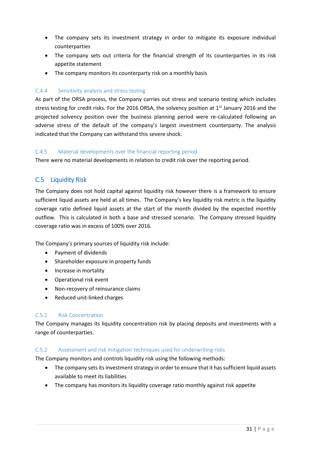- The company sets its investment strategy in order to mitigate its exposure individual counterparties
- The company sets out criteria for the financial strength of its counterparties in its risk appetite statement
- The company monitors its counterparty risk on a monthly basis

#### C.4.4 Sensitivity analysis and stress testing

As part of the ORSA process, the Company carries out stress and scenario testing which includes stress testing for credit risks. For the 2016 ORSA, the solvency position at  $1<sup>st</sup>$  January 2016 and the projected solvency position over the business planning period were re-calculated following an adverse stress of the default of the company's largest investment counterparty. The analysis indicated that the Company can withstand this severe shock.

#### C.4.5 Material developments over the financial reporting period

There were no material developments in relation to credit risk over the reporting period.

## <span id="page-30-0"></span>C.5 Liquidity Risk

The Company does not hold capital against liquidity risk however there is a framework to ensure sufficient liquid assets are held at all times. The Company's key liquidity risk metric is the liquidity coverage ratio defined liquid assets at the start of the month divided by the expected monthly outflow. This is calculated in both a base and stressed scenario. The Company stressed liquidity coverage ratio was in excess of 100% over 2016.

The Company's primary sources of liquidity risk include:

- Payment of dividends
- Shareholder exposure in property funds
- Increase in mortality
- Operational risk event
- Non-recovery of reinsurance claims
- Reduced unit-linked charges

#### C.5.1 Risk Concentration

The Company manages its liquidity concentration risk by placing deposits and investments with a range of counterparties.

#### C.5.2 Assessment and risk mitigation techniques used for underwriting risks

- The Company monitors and controls liquidity risk using the following methods:
	- The company sets its investment strategy in order to ensure that it has sufficient liquid assets available to meet its liabilities
	- The company has monitors its liquidity coverage ratio monthly against risk appetite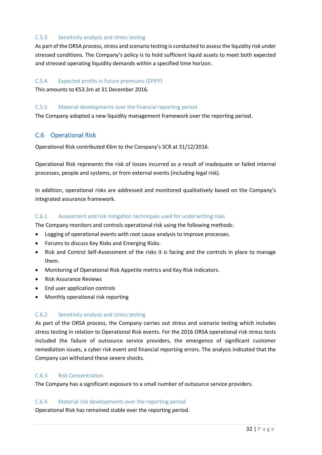#### C.5.3 Sensitivity analysis and stress testing

As part of the ORSA process, stress and scenario testing is conducted to assess the liquidity risk under stressed conditions. The Company's policy is to hold sufficient liquid assets to meet both expected and stressed operating liquidity demands within a specified time horizon.

#### C.5.4 Expected profits in future premiums (EPIFP)

This amounts to €53.3m at 31 December 2016.

#### C.5.5 Material developments over the financial reporting period

The Company adopted a new liquidity management framework over the reporting period.

## <span id="page-31-0"></span>C.6 Operational Risk

Operational Risk contributed €6m to the Company's SCR at 31/12/2016.

Operational Risk represents the risk of losses incurred as a result of inadequate or failed internal processes, people and systems, or from external events (including legal risk).

In addition, operational risks are addressed and monitored qualitatively based on the Company's integrated assurance framework.

#### C.6.1 Assessment and risk mitigation techniques used for underwriting risks

The Company monitors and controls operational risk using the following methods:

- Logging of operational events with root cause analysis to improve processes.
- Forums to discuss Key Risks and Emerging Risks.
- Risk and Control Self-Assessment of the risks it is facing and the controls in place to manage them.
- Monitoring of Operational Risk Appetite metrics and Key Risk Indicators.
- **•** Risk Assurance Reviews
- End user application controls
- Monthly operational risk reporting

#### C.6.2 Sensitivity analysis and stress testing

As part of the ORSA process, the Company carries out stress and scenario testing which includes stress testing in relation to Operational Risk events. For the 2016 ORSA operational risk stress tests included the failure of outsource service providers, the emergence of significant customer remediation issues, a cyber risk event and financial reporting errors. The analysis indicated that the Company can withstand these severe shocks.

#### C.6.3 Risk Concentration

The Company has a significant exposure to a small number of outsource service providers.

#### C.6.4 Material risk developments over the reporting period

Operational Risk has remained stable over the reporting period.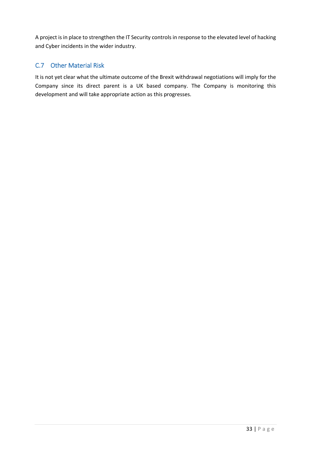A project is in place to strengthen the IT Security controls in response to the elevated level of hacking and Cyber incidents in the wider industry.

# <span id="page-32-0"></span>C.7 Other Material Risk

It is not yet clear what the ultimate outcome of the Brexit withdrawal negotiations will imply for the Company since its direct parent is a UK based company. The Company is monitoring this development and will take appropriate action as this progresses.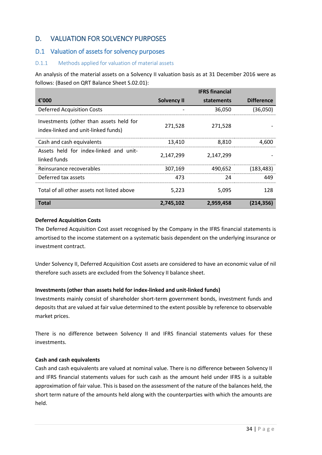# <span id="page-33-0"></span>D. VALUATION FOR SOLVENCY PURPOSES

## <span id="page-33-1"></span>D.1 Valuation of assets for solvency purposes

## D.1.1 Methods applied for valuation of material assets

An analysis of the material assets on a Solvency II valuation basis as at 31 December 2016 were as follows: (Based on QRT Balance Sheet S.02.01):

|                                                                                |                    | <b>IFRS</b> financial |                   |
|--------------------------------------------------------------------------------|--------------------|-----------------------|-------------------|
| €'000                                                                          | <b>Solvency II</b> | statements            | <b>Difference</b> |
| <b>Deferred Acquisition Costs</b>                                              |                    | 36,050                | (36,050)          |
| Investments (other than assets held for<br>index-linked and unit-linked funds) | 271,528            | 271,528               |                   |
| Cash and cash equivalents                                                      | 13,410             | 8,810                 | 4,600             |
| Assets held for index-linked and unit-<br>linked funds                         | 2,147,299          | 2,147,299             |                   |
| Reinsurance recoverables                                                       | 307,169            | 490,652               | (183, 483)        |
| Deferred tax assets                                                            | 473                | 24                    | 449               |
| Total of all other assets not listed above                                     | 5,223              | 5,095                 | 128               |
| <b>Total</b>                                                                   | 2,745,102          | 2,959,458             | (214, 356)        |

#### **Deferred Acquisition Costs**

The Deferred Acquisition Cost asset recognised by the Company in the IFRS financial statements is amortised to the income statement on a systematic basis dependent on the underlying insurance or investment contract.

Under Solvency II, Deferred Acquisition Cost assets are considered to have an economic value of nil therefore such assets are excluded from the Solvency II balance sheet.

## **Investments (other than assets held for index-linked and unit-linked funds)**

Investments mainly consist of shareholder short-term government bonds, investment funds and deposits that are valued at fair value determined to the extent possible by reference to observable market prices.

There is no difference between Solvency II and IFRS financial statements values for these investments.

## **Cash and cash equivalents**

Cash and cash equivalents are valued at nominal value. There is no difference between Solvency II and IFRS financial statements values for such cash as the amount held under IFRS is a suitable approximation of fair value. This is based on the assessment of the nature of the balances held, the short term nature of the amounts held along with the counterparties with which the amounts are held.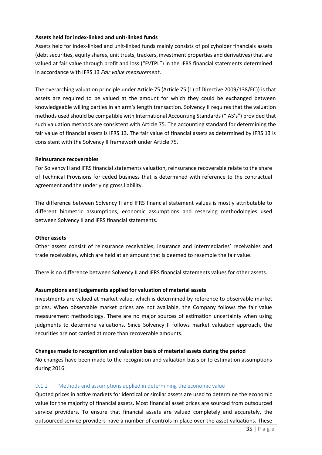#### **Assets held for index-linked and unit-linked funds**

Assets held for index-linked and unit-linked funds mainly consists of policyholder financials assets (debt securities, equity shares, unit trusts, trackers, investment properties and derivatives) that are valued at fair value through profit and loss ("FVTPL") in the IFRS financial statements determined in accordance with IFRS 13 *Fair value measurement*.

The overarching valuation principle under Article 75 (Article 75 (1) of Directive 2009/138/EC)) is that assets are required to be valued at the amount for which they could be exchanged between knowledgeable willing parties in an arm's length transaction. Solvency II requires that the valuation methods used should be compatible with International Accounting Standards ("IAS's") provided that such valuation methods are consistent with Article 75. The accounting standard for determining the fair value of financial assets is IFRS 13. The fair value of financial assets as determined by IFRS 13 is consistent with the Solvency II framework under Article 75.

#### **Reinsurance recoverables**

For Solvency II and IFRS financial statements valuation, reinsurance recoverable relate to the share of Technical Provisions for ceded business that is determined with reference to the contractual agreement and the underlying gross liability.

The difference between Solvency II and IFRS financial statement values is mostly attributable to different biometric assumptions, economic assumptions and reserving methodologies used between Solvency II and IFRS financial statements.

#### **Other assets**

Other assets consist of reinsurance receivables, insurance and intermediaries' receivables and trade receivables, which are held at an amount that is deemed to resemble the fair value.

There is no difference between Solvency II and IFRS financial statements values for other assets.

#### **Assumptions and judgements applied for valuation of material assets**

Investments are valued at market value, which is determined by reference to observable market prices. When observable market prices are not available, the Company follows the fair value measurement methodology. There are no major sources of estimation uncertainty when using judgments to determine valuations. Since Solvency II follows market valuation approach, the securities are not carried at more than recoverable amounts.

#### **Changes made to recognition and valuation basis of material assets during the period**

No changes have been made to the recognition and valuation basis or to estimation assumptions during 2016.

#### D.1.2 Methods and assumptions applied in determining the economic value

Quoted prices in active markets for identical or similar assets are used to determine the economic value for the majority of financial assets. Most financial asset prices are sourced from outsourced service providers. To ensure that financial assets are valued completely and accurately, the outsourced service providers have a number of controls in place over the asset valuations. These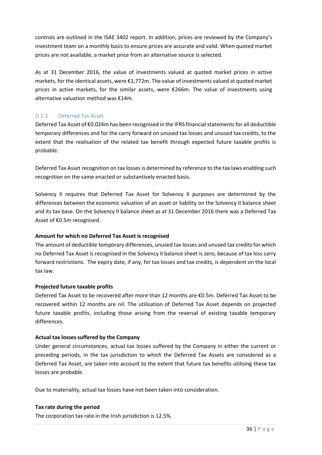controls are outlined in the ISAE 3402 report. In addition, prices are reviewed by the Company's investment team on a monthly basis to ensure prices are accurate and valid. When quoted market prices are not available, a market price from an alternative source is selected.

As at 31 December 2016, the value of investments valued at quoted market prices in active markets, for the identical assets, were €1,772m. The value of investments valued at quoted market prices in active markets, for the similar assets, were €266m. The value of investments using alternative valuation method was €14m.

## D.1.3 Deferred Tax Asset

Deferred Tax Asset of €0.024m has been recognised in the IFRS financial statements for all deductible temporary differences and for the carry forward on unused tax losses and unused tax credits, to the extent that the realisation of the related tax benefit through expected future taxable profits is probable.

Deferred Tax Asset recognition on tax losses is determined by reference to the tax laws enabling such recognition on the same enacted or substantively enacted basis.

Solvency II requires that Deferred Tax Asset for Solvency II purposes are determined by the differences between the economic valuation of an asset or liability on the Solvency II balance sheet and its tax base. On the Solvency II balance sheet as at 31 December 2016 there was a Deferred Tax Asset of €0.5m recognised.

#### **Amount for which no Deferred Tax Asset is recognised**

The amount of deductible temporary differences, unused tax losses and unused tax credits for which no Deferred Tax Asset is recognised in the Solvency II balance sheet is zero, because of tax loss carry forward restrictions. The expiry date, if any, for tax losses and tax credits, is dependent on the local tax law.

#### **Projected future taxable profits**

Deferred Tax Asset to be recovered after more than 12 months are €0.5m. Deferred Tax Asset to be recovered within 12 months are nil. The utilisation of Deferred Tax Asset depends on projected future taxable profits, including those arising from the reversal of existing taxable temporary differences.

#### **Actual tax losses suffered by the Company**

Under general circumstances, actual tax losses suffered by the Company in either the current or preceding periods, in the tax jurisdiction to which the Deferred Tax Assets are considered as a Deferred Tax Asset, are taken into account to the extent that future tax benefits utilising these tax losses are probable.

Due to materiality, actual tax losses have not been taken into consideration.

#### **Tax rate during the period**

The corporation tax rate in the Irish jurisdiction is 12.5%.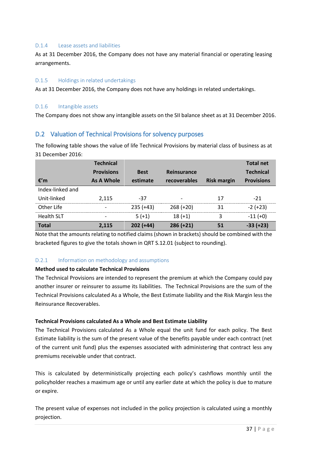#### D.1.4 Lease assets and liabilities

As at 31 December 2016, the Company does not have any material financial or operating leasing arrangements.

#### D.1.5 Holdings in related undertakings

As at 31 December 2016, the Company does not have any holdings in related undertakings.

#### D.1.6 Intangible assets

The Company does not show any intangible assets on the SII balance sheet as at 31 December 2016.

## <span id="page-36-0"></span>D.2 Valuation of Technical Provisions for solvency purposes

The following table shows the value of life Technical Provisions by material class of business as at 31 December 2016:

|                   | <b>Technical</b>  |             |              |                    | <b>Total net</b>  |
|-------------------|-------------------|-------------|--------------|--------------------|-------------------|
|                   | <b>Provisions</b> | <b>Best</b> | Reinsurance  |                    | <b>Technical</b>  |
| €'m               | As A Whole        | estimate    | recoverables | <b>Risk margin</b> | <b>Provisions</b> |
| Index-linked and  |                   |             |              |                    |                   |
| Unit-linked       | 2,115             | -37         |              | 17                 | $-21$             |
| Other Life        |                   | $235 (+43)$ | $268 (+20)$  | 31                 | $-2 (+23)$        |
| <b>Health SLT</b> |                   | $5(+1)$     | $18 (+1)$    | 3                  | $-11 (+0)$        |
| <b>Total</b>      | 2.115             | $202 (+44)$ | $286 (+21)$  | 51                 | $-33 (+23)$       |

Note that the amounts relating to notified claims (shown in brackets) should be combined with the bracketed figures to give the totals shown in QRT S.12.01 (subject to rounding).

## D.2.1 Information on methodology and assumptions

#### **Method used to calculate Technical Provisions**

The Technical Provisions are intended to represent the premium at which the Company could pay another insurer or reinsurer to assume its liabilities. The Technical Provisions are the sum of the Technical Provisions calculated As a Whole, the Best Estimate liability and the Risk Margin less the Reinsurance Recoverables.

#### **Technical Provisions calculated As a Whole and Best Estimate Liability**

The Technical Provisions calculated As a Whole equal the unit fund for each policy. The Best Estimate liability is the sum of the present value of the benefits payable under each contract (net of the current unit fund) plus the expenses associated with administering that contract less any premiums receivable under that contract.

This is calculated by deterministically projecting each policy's cashflows monthly until the policyholder reaches a maximum age or until any earlier date at which the policy is due to mature or expire.

The present value of expenses not included in the policy projection is calculated using a monthly projection.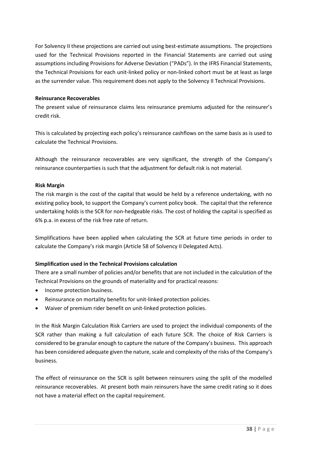For Solvency II these projections are carried out using best-estimate assumptions. The projections used for the Technical Provisions reported in the Financial Statements are carried out using assumptions including Provisions for Adverse Deviation ("PADs"). In the IFRS Financial Statements, the Technical Provisions for each unit-linked policy or non-linked cohort must be at least as large as the surrender value. This requirement does not apply to the Solvency II Technical Provisions.

#### **Reinsurance Recoverables**

The present value of reinsurance claims less reinsurance premiums adjusted for the reinsurer's credit risk.

This is calculated by projecting each policy's reinsurance cashflows on the same basis as is used to calculate the Technical Provisions.

Although the reinsurance recoverables are very significant, the strength of the Company's reinsurance counterparties is such that the adjustment for default risk is not material.

#### **Risk Margin**

The risk margin is the cost of the capital that would be held by a reference undertaking, with no existing policy book, to support the Company's current policy book. The capital that the reference undertaking holds is the SCR for non-hedgeable risks. The cost of holding the capital is specified as 6% p.a. in excess of the risk free rate of return.

Simplifications have been applied when calculating the SCR at future time periods in order to calculate the Company's risk margin (Article 58 of Solvency II Delegated Acts).

#### **Simplification used in the Technical Provisions calculation**

There are a small number of policies and/or benefits that are not included in the calculation of the Technical Provisions on the grounds of materiality and for practical reasons:

- Income protection business.
- Reinsurance on mortality benefits for unit-linked protection policies.
- Waiver of premium rider benefit on unit-linked protection policies.

In the Risk Margin Calculation Risk Carriers are used to project the individual components of the SCR rather than making a full calculation of each future SCR. The choice of Risk Carriers is considered to be granular enough to capture the nature of the Company's business. This approach has been considered adequate given the nature, scale and complexity of the risks of the Company's business.

The effect of reinsurance on the SCR is split between reinsurers using the split of the modelled reinsurance recoverables. At present both main reinsurers have the same credit rating so it does not have a material effect on the capital requirement.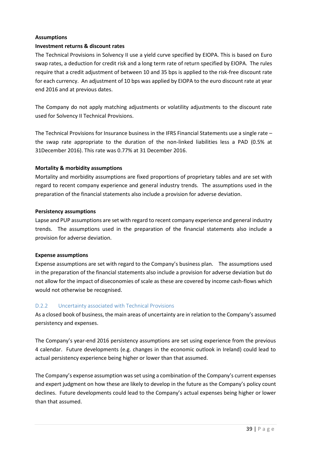#### **Assumptions**

#### **Investment returns & discount rates**

The Technical Provisions in Solvency II use a yield curve specified by EIOPA. This is based on Euro swap rates, a deduction for credit risk and a long term rate of return specified by EIOPA. The rules require that a credit adjustment of between 10 and 35 bps is applied to the risk-free discount rate for each currency. An adjustment of 10 bps was applied by EIOPA to the euro discount rate at year end 2016 and at previous dates.

The Company do not apply matching adjustments or volatility adjustments to the discount rate used for Solvency II Technical Provisions.

The Technical Provisions for Insurance business in the IFRS Financial Statements use a single rate – the swap rate appropriate to the duration of the non-linked liabilities less a PAD (0.5% at 31December 2016). This rate was 0.77% at 31 December 2016.

#### **Mortality & morbidity assumptions**

Mortality and morbidity assumptions are fixed proportions of proprietary tables and are set with regard to recent company experience and general industry trends. The assumptions used in the preparation of the financial statements also include a provision for adverse deviation.

#### **Persistency assumptions**

Lapse and PUP assumptions are set with regard to recent company experience and general industry trends. The assumptions used in the preparation of the financial statements also include a provision for adverse deviation.

#### **Expense assumptions**

Expense assumptions are set with regard to the Company's business plan. The assumptions used in the preparation of the financial statements also include a provision for adverse deviation but do not allow for the impact of diseconomies of scale as these are covered by income cash-flows which would not otherwise be recognised.

#### D.2.2 Uncertainty associated with Technical Provisions

As a closed book of business, the main areas of uncertainty are in relation to the Company's assumed persistency and expenses.

The Company's year-end 2016 persistency assumptions are set using experience from the previous 4 calendar. Future developments (e.g. changes in the economic outlook in Ireland) could lead to actual persistency experience being higher or lower than that assumed.

The Company's expense assumption was set using a combination of the Company's current expenses and expert judgment on how these are likely to develop in the future as the Company's policy count declines. Future developments could lead to the Company's actual expenses being higher or lower than that assumed.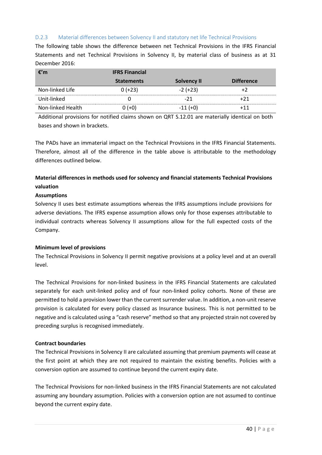#### D.2.3 Material differences between Solvency II and statutory net life Technical Provisions

The following table shows the difference between net Technical Provisions in the IFRS Financial Statements and net Technical Provisions in Solvency II, by material class of business as at 31 December 2016:

| €′m               | <b>IFRS Financial</b> |                    |                   |
|-------------------|-----------------------|--------------------|-------------------|
|                   | <b>Statements</b>     | <b>Solvency II</b> | <b>Difference</b> |
| Non-linked Life   | $0 (+23)$             | $-2 (+23)$         |                   |
| Unit-linked       |                       | -21                | +71               |
| Non-linked Health | $(+0)$                | $-11(+0)$          | ∔11               |

Additional provisions for notified claims shown on QRT S.12.01 are materially identical on both bases and shown in brackets.

The PADs have an immaterial impact on the Technical Provisions in the IFRS Financial Statements. Therefore, almost all of the difference in the table above is attributable to the methodology differences outlined below.

## **Material differences in methods used for solvency and financial statements Technical Provisions valuation**

#### **Assumptions**

Solvency II uses best estimate assumptions whereas the IFRS assumptions include provisions for adverse deviations. The IFRS expense assumption allows only for those expenses attributable to individual contracts whereas Solvency II assumptions allow for the full expected costs of the Company.

#### **Minimum level of provisions**

The Technical Provisions in Solvency II permit negative provisions at a policy level and at an overall level.

The Technical Provisions for non-linked business in the IFRS Financial Statements are calculated separately for each unit-linked policy and of four non-linked policy cohorts. None of these are permitted to hold a provision lower than the current surrender value. In addition, a non-unit reserve provision is calculated for every policy classed as Insurance business. This is not permitted to be negative and is calculated using a "cash reserve" method so that any projected strain not covered by preceding surplus is recognised immediately.

#### **Contract boundaries**

The Technical Provisions in Solvency II are calculated assuming that premium payments will cease at the first point at which they are not required to maintain the existing benefits. Policies with a conversion option are assumed to continue beyond the current expiry date.

The Technical Provisions for non-linked business in the IFRS Financial Statements are not calculated assuming any boundary assumption. Policies with a conversion option are not assumed to continue beyond the current expiry date.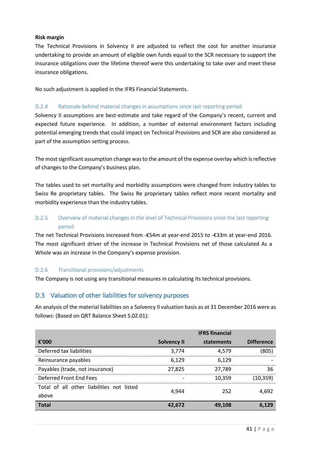#### **Risk margin**

The Technical Provisions in Solvency II are adjusted to reflect the cost for another insurance undertaking to provide an amount of eligible own funds equal to the SCR necessary to support the insurance obligations over the lifetime thereof were this undertaking to take over and meet these insurance obligations.

No such adjustment is applied in the IFRS Financial Statements.

#### D.2.4 Rationale behind material changes in assumptions since last reporting period

Solvency II assumptions are best-estimate and take regard of the Company's recent, current and expected future experience. In addition, a number of external environment factors including potential emerging trends that could impact on Technical Provisions and SCR are also considered as part of the assumption setting process.

The most significant assumption change was to the amount of the expense overlay which is reflective of changes to the Company's business plan.

The tables used to set mortality and morbidity assumptions were changed from industry tables to Swiss Re proprietary tables. The Swiss Re proprietary tables reflect more recent mortality and morbidity experience than the industry tables.

## D.2.5 Overview of material changes in the level of Technical Provisions since the last reporting period

The net Technical Provisions increased from -€54m at year-end 2015 to -€33m at year-end 2016. The most significant driver of the increase in Technical Provisions net of those calculated As a Whole was an increase in the Company's expense provision.

#### D.2.6 Transitional provisions/adjustments

The Company is not using any transitional measures in calculating its technical provisions.

## <span id="page-40-0"></span>D.3 Valuation of other liabilities for solvency purposes

An analysis of the material liabilities on a Solvency II valuation basis as at 31 December 2016 were as follows: (Based on QRT Balance Sheet S.02.01):

|                                                    |                    | <b>IFRS</b> financial |                   |
|----------------------------------------------------|--------------------|-----------------------|-------------------|
| €'000                                              | <b>Solvency II</b> | statements            | <b>Difference</b> |
| Deferred tax liabilities                           | 3,774              | 4,579                 | (805)             |
| Reinsurance payables                               | 6,129              | 6.129                 |                   |
| Payables (trade, not insurance)                    | 27,825             | 27,789                | 36                |
| Deferred Front End Fees                            |                    | 10,359                | (10,359)          |
| Total of all other liabilities not listed<br>above | 4.944              | 252                   | 4.692             |
| <b>Total</b>                                       | 42.672             | 49.108                |                   |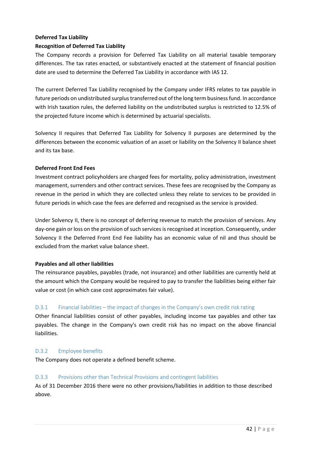## **Deferred Tax Liability**

## **Recognition of Deferred Tax Liability**

The Company records a provision for Deferred Tax Liability on all material taxable temporary differences. The tax rates enacted, or substantively enacted at the statement of financial position date are used to determine the Deferred Tax Liability in accordance with IAS 12.

The current Deferred Tax Liability recognised by the Company under IFRS relates to tax payable in future periods on undistributed surplus transferred out of the long term business fund. In accordance with Irish taxation rules, the deferred liability on the undistributed surplus is restricted to 12.5% of the projected future income which is determined by actuarial specialists.

Solvency II requires that Deferred Tax Liability for Solvency II purposes are determined by the differences between the economic valuation of an asset or liability on the Solvency II balance sheet and its tax base.

#### **Deferred Front End Fees**

Investment contract policyholders are charged fees for mortality, policy administration, investment management, surrenders and other contract services. These fees are recognised by the Company as revenue in the period in which they are collected unless they relate to services to be provided in future periods in which case the fees are deferred and recognised as the service is provided.

Under Solvency II, there is no concept of deferring revenue to match the provision of services. Any day-one gain or loss on the provision of such services is recognised at inception. Consequently, under Solvency II the Deferred Front End Fee liability has an economic value of nil and thus should be excluded from the market value balance sheet.

#### **Payables and all other liabilities**

The reinsurance payables, payables (trade, not insurance) and other liabilities are currently held at the amount which the Company would be required to pay to transfer the liabilities being either fair value or cost (in which case cost approximates fair value).

## D.3.1 Financial liabilities – the impact of changes in the Company's own credit risk rating

Other financial liabilities consist of other payables, including income tax payables and other tax payables. The change in the Company's own credit risk has no impact on the above financial liabilities.

#### D.3.2 Employee benefits

The Company does not operate a defined benefit scheme.

#### D.3.3 Provisions other than Technical Provisions and contingent liabilities

As of 31 December 2016 there were no other provisions/liabilities in addition to those described above.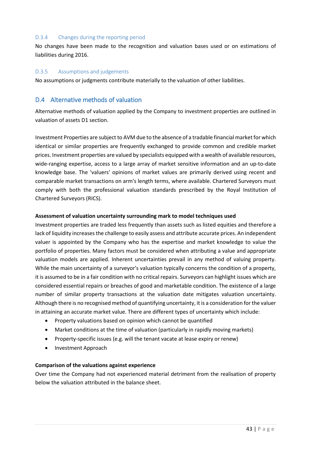#### D.3.4 Changes during the reporting period

No changes have been made to the recognition and valuation bases used or on estimations of liabilities during 2016.

#### D.3.5 Assumptions and judgements

No assumptions or judgments contribute materially to the valuation of other liabilities.

## <span id="page-42-0"></span>D.4 Alternative methods of valuation

Alternative methods of valuation applied by the Company to investment properties are outlined in valuation of assets D1 section.

Investment Properties are subject to AVM due to the absence of a tradable financial market for which identical or similar properties are frequently exchanged to provide common and credible market prices. Investment properties are valued by specialists equipped with a wealth of available resources, wide-ranging expertise, access to a large array of market sensitive information and an up-to-date knowledge base. The 'valuers' opinions of market values are primarily derived using recent and comparable market transactions on arm's length terms, where available. Chartered Surveyors must comply with both the professional valuation standards prescribed by the Royal Institution of Chartered Surveyors (RICS).

#### **Assessment of valuation uncertainty surrounding mark to model techniques used**

Investment properties are traded less frequently than assets such as listed equities and therefore a lack of liquidity increases the challenge to easily assess and attribute accurate prices. An independent valuer is appointed by the Company who has the expertise and market knowledge to value the portfolio of properties. Many factors must be considered when attributing a value and appropriate valuation models are applied. Inherent uncertainties prevail in any method of valuing property. While the main uncertainty of a surveyor's valuation typically concerns the condition of a property, it is assumed to be in a fair condition with no critical repairs. Surveyors can highlight issues which are considered essential repairs or breaches of good and marketable condition. The existence of a large number of similar property transactions at the valuation date mitigates valuation uncertainty. Although there is no recognised method of quantifying uncertainty, it is a consideration for the valuer in attaining an accurate market value. There are different types of uncertainty which include:

- Property valuations based on opinion which cannot be quantified
- Market conditions at the time of valuation (particularly in rapidly moving markets)
- Property-specific issues (e.g. will the tenant vacate at lease expiry or renew)
- <span id="page-42-1"></span>• Investment Approach

#### **Comparison of the valuations against experience**

Over time the Company had not experienced material detriment from the realisation of property below the valuation attributed in the balance sheet.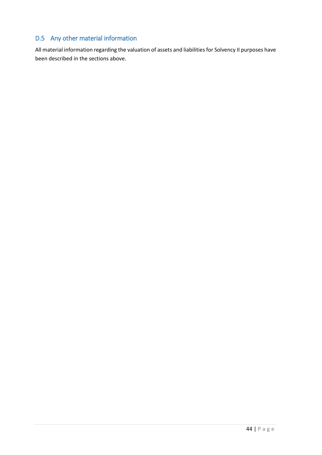# D.5 Any other material information

All material information regarding the valuation of assets and liabilities for Solvency II purposes have been described in the sections above.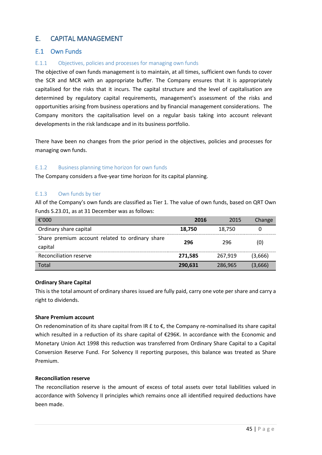# <span id="page-44-0"></span>E. CAPITAL MANAGEMENT

## <span id="page-44-1"></span>E.1 Own Funds

## E.1.1 Objectives, policies and processes for managing own funds

The objective of own funds management is to maintain, at all times, sufficient own funds to cover the SCR and MCR with an appropriate buffer. The Company ensures that it is appropriately capitalised for the risks that it incurs. The capital structure and the level of capitalisation are determined by regulatory capital requirements, management's assessment of the risks and opportunities arising from business operations and by financial management considerations. The Company monitors the capitalisation level on a regular basis taking into account relevant developments in the risk landscape and in its business portfolio.

There have been no changes from the prior period in the objectives, policies and processes for managing own funds.

#### E.1.2 Business planning time horizon for own funds

The Company considers a five-year time horizon for its capital planning.

#### E.1.3 Own funds by tier

All of the Company's own funds are classified as Tier 1. The value of own funds, based on QRT Own Funds S.23.01, as at 31 December was as follows:

| €'000                                                      | 2016    | 2015    | Change  |
|------------------------------------------------------------|---------|---------|---------|
| Ordinary share capital                                     | 18.750  | 18,750  |         |
| Share premium account related to ordinary share<br>capital | 296     | 296     | (0)     |
| Reconciliation reserve                                     | 271.585 | 267.919 | (3,666) |
| Total                                                      | 290,631 | 286,965 | (3,666) |

#### **Ordinary Share Capital**

This is the total amount of ordinary shares issued are fully paid, carry one vote per share and carry a right to dividends.

#### **Share Premium account**

On redenomination of its share capital from IR  $E$  to  $E$ , the Company re-nominalised its share capital which resulted in a reduction of its share capital of €296K. In accordance with the Economic and Monetary Union Act 1998 this reduction was transferred from Ordinary Share Capital to a Capital Conversion Reserve Fund. For Solvency II reporting purposes, this balance was treated as Share Premium.

#### **Reconciliation reserve**

The reconciliation reserve is the amount of excess of total assets over total liabilities valued in accordance with Solvency II principles which remains once all identified required deductions have been made.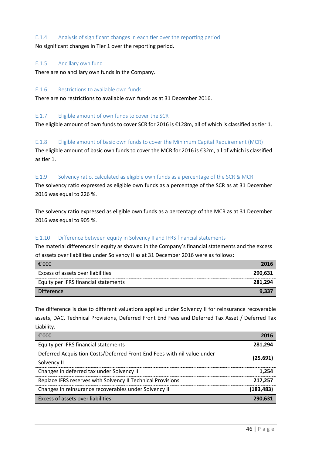#### E.1.4 Analysis of significant changes in each tier over the reporting period

No significant changes in Tier 1 over the reporting period.

#### E.1.5 Ancillary own fund

There are no ancillary own funds in the Company.

#### E.1.6 Restrictions to available own funds

There are no restrictions to available own funds as at 31 December 2016.

## E.1.7 Eligible amount of own funds to cover the SCR

The eligible amount of own funds to cover SCR for 2016 is €128m, all of which is classified as tier 1.

E.1.8 Eligible amount of basic own funds to cover the Minimum Capital Requirement (MCR) The eligible amount of basic own funds to cover the MCR for 2016 is €32m, all of which is classified as tier 1.

## E.1.9 Solvency ratio, calculated as eligible own funds as a percentage of the SCR & MCR

The solvency ratio expressed as eligible own funds as a percentage of the SCR as at 31 December 2016 was equal to 226 %.

The solvency ratio expressed as eligible own funds as a percentage of the MCR as at 31 December 2016 was equal to 905 %.

#### E.1.10 Difference between equity in Solvency II and IFRS financial statements

The material differences in equity as showed in the Company's financial statements and the excess of assets over liabilities under Solvency II as at 31 December 2016 were as follows:

| €'000                                | 2016    |
|--------------------------------------|---------|
| Excess of assets over liabilities    | 290.631 |
| Equity per IFRS financial statements | 281.294 |
| <b>Difference</b>                    | 9.337   |

The difference is due to different valuations applied under Solvency II for reinsurance recoverable assets, DAC, Technical Provisions, Deferred Front End Fees and Deferred Tax Asset / Deferred Tax Liability.

| €'000                                                                   | 2016       |
|-------------------------------------------------------------------------|------------|
| Equity per IFRS financial statements                                    | 281.294    |
| Deferred Acquisition Costs/Deferred Front End Fees with nil value under | (25, 691)  |
| Solvency II                                                             |            |
| Changes in deferred tax under Solvency II                               | 1.254      |
| Replace IFRS reserves with Solvency II Technical Provisions             | 217.257    |
| Changes in reinsurance recoverables under Solvency II                   | (183, 483) |
| Excess of assets over liabilities                                       | 290.631    |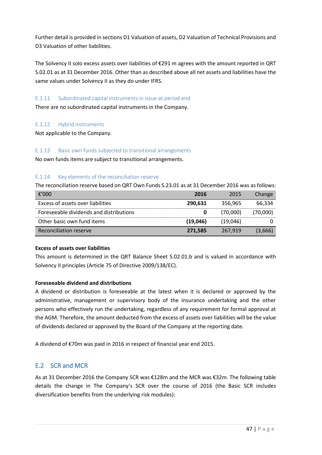Further detail is provided in sections D1 Valuation of assets, D2 Valuation of Technical Provisions and D3 Valuation of other liabilities.

The Solvency II solo excess assets over liabilities of €291 m agrees with the amount reported in QRT S.02.01 as at 31 December 2016. Other than as described above all net assets and liabilities have the same values under Solvency II as they do under IFRS.

## E.1.11 Subordinated capital instruments in issue at period end

There are no subordinated capital instruments in the Company.

#### E.1.12 Hybrid instruments

Not applicable to the Company.

#### E.1.13 Basic own funds subjected to transitional arrangements

No own funds items are subject to transitional arrangements.

## E.1.14 Key elements of the reconciliation reserve

The reconciliation reserve based on QRT Own Funds S.23.01 as at 31 December 2016 was as follows:

| €'000                                   | 2016     | 2015     | Change   |
|-----------------------------------------|----------|----------|----------|
| Excess of assets over liabilities       | 290.631  | 356.965  | 66.334   |
| Foreseeable dividends and distributions |          | (70.000) | (70.000) |
| Other basic own fund items              | (19,046) | (19.046) |          |
| Reconciliation reserve                  | 271,585  | 267.919  | (3,666)  |

#### **Excess of assets over liabilities**

This amount is determined in the QRT Balance Sheet S.02.01.b and is valued in accordance with Solvency II principles (Article 75 of Directive 2009/138/EC).

#### **Foreseeable dividend and distributions**

A dividend or distribution is foreseeable at the latest when it is declared or approved by the administrative, management or supervisory body of the insurance undertaking and the other persons who effectively run the undertaking, regardless of any requirement for formal approval at the AGM. Therefore, the amount deducted from the excess of assets over liabilities will be the value of dividends declared or approved by the Board of the Company at the reporting date.

A dividend of €70m was paid in 2016 in respect of financial year end 2015.

## <span id="page-46-0"></span>E.2 SCR and MCR

As at 31 December 2016 the Company SCR was €128m and the MCR was €32m. The following table details the change in The Company's SCR over the course of 2016 (the Basic SCR includes diversification benefits from the underlying risk modules):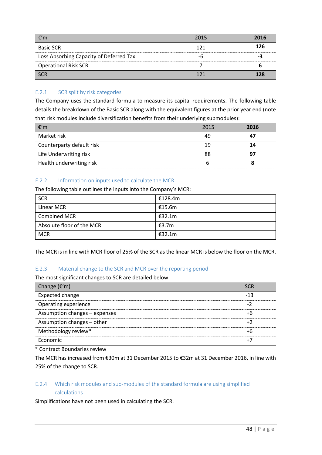| -€′m                                    | 2015 | 2016 |
|-----------------------------------------|------|------|
| <b>Basic SCR</b>                        | 171  | 126  |
| Loss Absorbing Capacity of Deferred Tax |      |      |
| <b>Operational Risk SCR</b>             |      |      |
| <b>SCR</b>                              |      | 178  |

## E.2.1 SCR split by risk categories

The Company uses the standard formula to measure its capital requirements. The following table details the breakdown of the Basic SCR along with the equivalent figures at the prior year end (note that risk modules include diversification benefits from their underlying submodules):

| €′m                       | 2015 | 2016 |
|---------------------------|------|------|
| Market risk               | 49   |      |
| Counterparty default risk | 1 Q  | 14   |
| Life Underwriting risk    | 88   |      |
| Health underwriting risk  |      |      |

#### E.2.2 Information on inputs used to calculate the MCR

The following table outlines the inputs into the Company's MCR:

| <b>SCR</b>                | €128.4m |
|---------------------------|---------|
| Linear MCR                | €15.6m  |
| <b>Combined MCR</b>       | €32.1m  |
| Absolute floor of the MCR | €3.7m   |
| <b>MCR</b>                | €32.1m  |

The MCR is in line with MCR floor of 25% of the SCR as the linear MCR is below the floor on the MCR.

#### E.2.3 Material change to the SCR and MCR over the reporting period

The most significant changes to SCR are detailed below:

| Change $(\epsilon'm)$         | 50 R |
|-------------------------------|------|
| Expected change               | -13  |
| Operating experience          |      |
| Assumption changes - expenses |      |
| Assumption changes - other    |      |
| Methodology review*           |      |
| Economic                      |      |

\* Contract Boundaries review

The MCR has increased from €30m at 31 December 2015 to €32m at 31 December 2016, in line with 25% of the change to SCR.

## E.2.4 Which risk modules and sub-modules of the standard formula are using simplified calculations

Simplifications have not been used in calculating the SCR.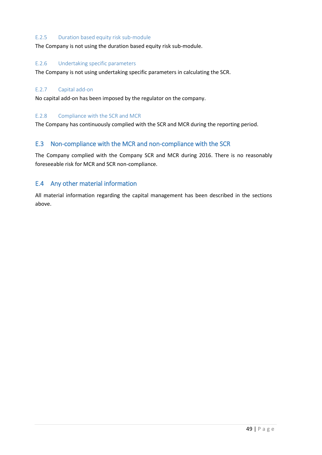#### E.2.5 Duration based equity risk sub-module

The Company is not using the duration based equity risk sub-module.

#### E.2.6 Undertaking specific parameters

The Company is not using undertaking specific parameters in calculating the SCR.

#### E.2.7 Capital add-on

No capital add-on has been imposed by the regulator on the company.

#### E.2.8 Compliance with the SCR and MCR

The Company has continuously complied with the SCR and MCR during the reporting period.

## <span id="page-48-0"></span>E.3 Non-compliance with the MCR and non-compliance with the SCR

The Company complied with the Company SCR and MCR during 2016. There is no reasonably foreseeable risk for MCR and SCR non-compliance.

## <span id="page-48-1"></span>E.4 Any other material information

All material information regarding the capital management has been described in the sections above.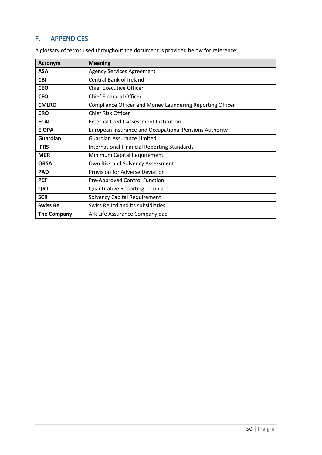# <span id="page-49-0"></span>F. APPENDICES

| <b>Acronym</b>     | <b>Meaning</b>                                            |
|--------------------|-----------------------------------------------------------|
| <b>ASA</b>         | <b>Agency Services Agreement</b>                          |
| <b>CBI</b>         | <b>Central Bank of Ireland</b>                            |
| <b>CEO</b>         | <b>Chief Executive Officer</b>                            |
| <b>CFO</b>         | <b>Chief Financial Officer</b>                            |
| <b>CMLRO</b>       | Compliance Officer and Money Laundering Reporting Officer |
| <b>CRO</b>         | <b>Chief Risk Officer</b>                                 |
| <b>ECAI</b>        | <b>External Credit Assessment Institution</b>             |
| <b>EIOPA</b>       | European Insurance and Occupational Pensions Authority    |
| <b>Guardian</b>    | <b>Guardian Assurance Limited</b>                         |
| <b>IFRS</b>        | <b>International Financial Reporting Standards</b>        |
| <b>MCR</b>         | Minimum Capital Requirement                               |
| <b>ORSA</b>        | Own Risk and Solvency Assessment                          |
| <b>PAD</b>         | Provision for Adverse Deviation                           |
| <b>PCF</b>         | Pre-Approved Control Function                             |
| QRT                | <b>Quantitative Reporting Template</b>                    |
| <b>SCR</b>         | <b>Solvency Capital Requirement</b>                       |
| <b>Swiss Re</b>    | Swiss Re Ltd and its subsidiaries                         |
| <b>The Company</b> | Ark Life Assurance Company dac                            |

A glossary of terms used throughout the document is provided below for reference: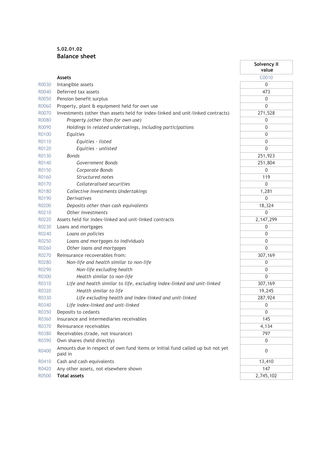## **S.02.01.02 Balance sheet**

|       |                                                                                           | Solvency II<br>value |
|-------|-------------------------------------------------------------------------------------------|----------------------|
|       | <b>Assets</b>                                                                             | C0010                |
| R0030 | Intangible assets                                                                         | 0                    |
| R0040 | Deferred tax assets                                                                       | 473                  |
| R0050 | Pension benefit surplus                                                                   | $\mathbf 0$          |
| R0060 | Property, plant & equipment held for own use                                              | $\mathbf{0}$         |
| R0070 | Investments (other than assets held for index-linked and unit-linked contracts)           | 271,528              |
| R0080 | Property (other than for own use)                                                         | $\mathbf 0$          |
| R0090 | Holdings in related undertakings, including participations                                | 0                    |
| R0100 | Equities                                                                                  | $\mathbf 0$          |
| R0110 | Equities - listed                                                                         | $\boldsymbol{0}$     |
| R0120 | Equities - unlisted                                                                       | $\mathbf{0}$         |
| R0130 | <b>Bonds</b>                                                                              | 251,923              |
| R0140 | Government Bonds                                                                          | 251,804              |
| R0150 | Corporate Bonds                                                                           | $\Omega$             |
| R0160 | Structured notes                                                                          | 119                  |
| R0170 | Collateralised securities                                                                 | $\Omega$             |
| R0180 | Collective Investments Undertakings                                                       | 1,281                |
| R0190 | <b>Derivatives</b>                                                                        | $\mathbf 0$          |
| R0200 | Deposits other than cash equivalents                                                      | 18,324               |
| R0210 | Other investments                                                                         | $\overline{0}$       |
| R0220 | Assets held for index-linked and unit-linked contracts                                    | 2, 147, 299          |
| R0230 | Loans and mortgages                                                                       | 0                    |
| R0240 | Loans on policies                                                                         | $\mathbf 0$          |
| R0250 | Loans and mortgages to individuals                                                        | $\mathbf 0$          |
| R0260 | Other loans and mortgages                                                                 | $\mathbf{0}$         |
| R0270 | Reinsurance recoverables from:                                                            | 307,169              |
| R0280 | Non-life and health similar to non-life                                                   | $\mathbf 0$          |
| R0290 | Non-life excluding health                                                                 | $\boldsymbol{0}$     |
| R0300 | Health similar to non-life                                                                | $\Omega$             |
| R0310 | Life and health similar to life, excluding index-linked and unit-linked                   | 307,169              |
| R0320 | Health similar to life                                                                    | 19,245               |
| R0330 | Life excluding health and index-linked and unit-linked                                    | 287,924              |
| R0340 | Life index-linked and unit-linked                                                         | $\boldsymbol{0}$     |
| R0350 | Deposits to cedants                                                                       | 0                    |
| R0360 | Insurance and intermediaries receivables                                                  | 145                  |
| R0370 | Reinsurance receivables                                                                   | 4,134                |
| R0380 | Receivables (trade, not insurance)                                                        | 797                  |
| R0390 | Own shares (held directly)                                                                | 0                    |
| R0400 | Amounts due in respect of own fund items or initial fund called up but not yet<br>paid in | $\mathbf 0$          |
| R0410 | Cash and cash equivalents                                                                 | 13,410               |
| R0420 | Any other assets, not elsewhere shown                                                     | 147                  |
| R0500 | <b>Total assets</b>                                                                       | 2,745,102            |

J.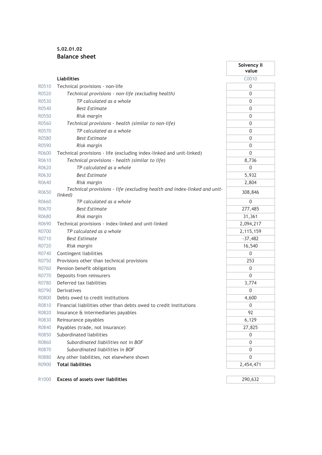## **S.02.01.02 Balance sheet**

|       |                                                                                     | Solvency II<br>value |
|-------|-------------------------------------------------------------------------------------|----------------------|
|       | <b>Liabilities</b>                                                                  | C0010                |
| R0510 | Technical provisions - non-life                                                     | 0                    |
| R0520 | Technical provisions - non-life (excluding health)                                  | 0                    |
| R0530 | TP calculated as a whole                                                            | 0                    |
| R0540 | <b>Best Estimate</b>                                                                | 0                    |
| R0550 | Risk margin                                                                         | 0                    |
| R0560 | Technical provisions - health (similar to non-life)                                 | $\Omega$             |
| R0570 | TP calculated as a whole                                                            | $\Omega$             |
| R0580 | <b>Best Estimate</b>                                                                | 0                    |
| R0590 | Risk margin                                                                         | 0                    |
| R0600 | Technical provisions - life (excluding index-linked and unit-linked)                | $\Omega$             |
| R0610 | Technical provisions - health (similar to life)                                     | 8,736                |
| R0620 | TP calculated as a whole                                                            | 0                    |
| R0630 | <b>Best Estimate</b>                                                                | 5,932                |
| R0640 | Risk margin                                                                         | 2,804                |
| R0650 | Technical provisions - life (excluding health and index-linked and unit-<br>linked) | 308,846              |
| R0660 | TP calculated as a whole                                                            | $\mathbf{0}$         |
| R0670 | <b>Best Estimate</b>                                                                | 277,485              |
| R0680 | Risk margin                                                                         | 31,361               |
| R0690 | Technical provisions - index-linked and unit-linked                                 | 2,094,217            |
| R0700 | TP calculated as a whole                                                            | 2,115,159            |
| R0710 | Best Estimate                                                                       | $-37,482$            |
| R0720 | Risk margin                                                                         | 16,540               |
| R0740 | Contingent liabilities                                                              | 0                    |
| R0750 | Provisions other than technical provisions                                          | 253                  |
| R0760 | Pension benefit obligations                                                         | 0                    |
| R0770 | Deposits from reinsurers                                                            | $\mathbf{0}$         |
| R0780 | Deferred tax liabilities                                                            | 3,774                |
| R0790 | Derivatives                                                                         | 0                    |
| R0800 | Debts owed to credit institutions                                                   | 4,600                |
| R0810 | Financial liabilities other than debts owed to credit institutions                  | 0                    |
| R0820 | Insurance & intermediaries payables                                                 | 92                   |
| R0830 | Reinsurance payables                                                                | 6,129                |
| R0840 | Payables (trade, not insurance)                                                     | 27,825               |
| R0850 | Subordinated liabilities                                                            | 0                    |
| R0860 | Subordinated liabilities not in BOF                                                 | 0                    |
| R0870 | Subordinated liabilities in BOF                                                     | 0                    |
| R0880 | Any other liabilities, not elsewhere shown                                          | 0                    |
| R0900 | <b>Total liabilities</b>                                                            | 2,454,471            |
|       |                                                                                     |                      |
| R1000 | <b>Excess of assets over liabilities</b>                                            | 290,632              |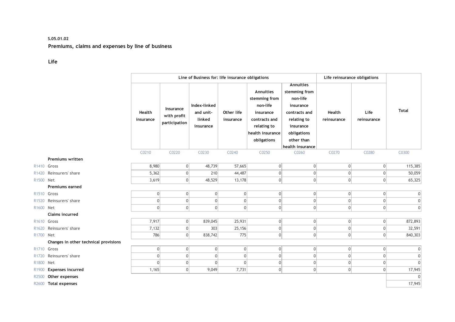#### **S.05.01.02 Premiums, claims and expenses by line of business**

#### **Life**

|                   |                                       |                     |                                           | Line of Business for: life insurance obligations |                         |                                                                                                                        |                                                                                                                                      | Life reinsurance obligations |                     |                |
|-------------------|---------------------------------------|---------------------|-------------------------------------------|--------------------------------------------------|-------------------------|------------------------------------------------------------------------------------------------------------------------|--------------------------------------------------------------------------------------------------------------------------------------|------------------------------|---------------------|----------------|
|                   |                                       | Health<br>insurance | Insurance<br>with profit<br>participation | Index-linked<br>and unit-<br>linked<br>insurance | Other life<br>insurance | Annuities<br>stemming from<br>non-life<br>insurance<br>contracts and<br>relating to<br>health insurance<br>obligations | <b>Annuities</b><br>stemming from<br>non-life<br>insurance<br>contracts and<br>relating to<br>insurance<br>obligations<br>other than | Health<br>reinsurance        | Life<br>reinsurance | <b>Total</b>   |
|                   |                                       | C0210               | C0220                                     | C0230                                            | C0240                   | C0250                                                                                                                  | health insurance<br>C0260                                                                                                            | C0270                        | C0280               | C0300          |
|                   | Premiums written                      |                     |                                           |                                                  |                         |                                                                                                                        |                                                                                                                                      |                              |                     |                |
| R1410 Gross       |                                       | 8,980               | 0                                         | 48,739                                           | 57,665                  | 0                                                                                                                      | $\overline{0}$                                                                                                                       | 0                            | 0                   | 115,385        |
| R <sub>1420</sub> | Reinsurers' share                     | 5,362               | $\overline{0}$                            | 210                                              | 44,487                  | $\boldsymbol{0}$                                                                                                       | $\mathbf{0}$                                                                                                                         | $\boldsymbol{0}$             | $\Omega$            | 50,059         |
| R1500 Net         |                                       | 3,619               | 0                                         | 48,529                                           | 13,178                  | 0                                                                                                                      | 0                                                                                                                                    | 0                            | 0                   | 65,325         |
|                   | Premiums earned                       |                     |                                           |                                                  |                         |                                                                                                                        |                                                                                                                                      |                              |                     |                |
| R1510 Gross       |                                       | 0                   | $\Omega$                                  | 0                                                | 0                       | 0                                                                                                                      | $\overline{0}$                                                                                                                       | 0                            | $\overline{0}$      | 0              |
| R <sub>1520</sub> | Reinsurers' share                     | 0                   | $\overline{0}$                            | 0                                                | $\overline{0}$          | 0                                                                                                                      | $\mathbf{0}$                                                                                                                         | 0                            | $\overline{0}$      | 0              |
| R1600 Net         |                                       | 0                   | $\overline{0}$                            | $\Omega$                                         | $\Omega$                | 0                                                                                                                      | $\overline{0}$                                                                                                                       | 0                            | $\overline{0}$      | $\mathbf{0}$   |
|                   | Claims incurred                       |                     |                                           |                                                  |                         |                                                                                                                        |                                                                                                                                      |                              |                     |                |
| R1610 Gross       |                                       | 7,917               | 0                                         | 839,045                                          | 25,931                  | 0                                                                                                                      | $\overline{0}$                                                                                                                       | 0                            | 0                   | 872,893        |
| R <sub>1620</sub> | Reinsurers' share                     | 7,132               | $\overline{0}$                            | 303                                              | 25,156                  | $\mathbf 0$                                                                                                            | $\overline{0}$                                                                                                                       | 0                            | $\overline{0}$      | 32,591         |
| R1700 Net         |                                       | 786                 | $\Omega$                                  | 838,742                                          | 775                     | 0                                                                                                                      | $\overline{0}$                                                                                                                       | 0                            | $\overline{0}$      | 840,303        |
|                   | Changes in other technical provisions |                     |                                           |                                                  |                         |                                                                                                                        |                                                                                                                                      |                              |                     |                |
| R1710 Gross       |                                       | 0                   | 0                                         | 0                                                | 0                       | 0                                                                                                                      | $\boldsymbol{0}$                                                                                                                     | 0                            | $\overline{0}$      | $\mathbf 0$    |
| R <sub>1720</sub> | Reinsurers' share                     | 0                   | $\overline{0}$                            | 0                                                | $\overline{0}$          | $\mathbf{0}$                                                                                                           | $\overline{0}$                                                                                                                       | 0                            | $\Omega$            | $\mathbf 0$    |
| R1800             | Net                                   | 0                   | 0                                         | 0                                                | $\Omega$                | $\boldsymbol{0}$                                                                                                       | 0                                                                                                                                    | 0                            | $\overline{0}$      | $\overline{0}$ |
| R1900             | <b>Expenses incurred</b>              | 1,165               | $\overline{0}$                            | 9,049                                            | 7,731                   | 0                                                                                                                      | $\overline{0}$                                                                                                                       | 0                            | $\Omega$            | 17,945         |
| R2500             | Other expenses                        |                     |                                           |                                                  |                         |                                                                                                                        |                                                                                                                                      |                              |                     | $\mathbf{0}$   |
|                   | R2600 Total expenses                  |                     |                                           |                                                  |                         |                                                                                                                        |                                                                                                                                      |                              |                     | 17,945         |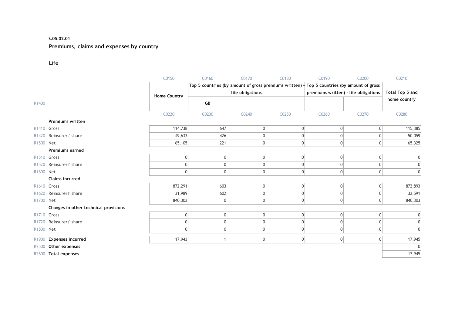#### **S.05.02.01**

## **Premiums, claims and expenses by country**

**Life**

|                   |                                       | C0150               | C0160                                                   | C0170            | C0180          | C0190                                | C0200        | C0210           |
|-------------------|---------------------------------------|---------------------|---------------------------------------------------------|------------------|----------------|--------------------------------------|--------------|-----------------|
|                   |                                       |                     | Top 5 countries (by amount of gross premiums written) - |                  |                | Top 5 countries (by amount of gross  |              |                 |
|                   |                                       | <b>Home Country</b> |                                                         | life obligations |                | premiums written) - life obligations |              | Total Top 5 and |
| R1400             |                                       |                     | GB                                                      |                  |                |                                      |              | home country    |
|                   |                                       | C0220               | C0230                                                   | C0240            | C0250          | C0260                                | C0270        | C0280           |
|                   | Premiums written                      |                     |                                                         |                  |                |                                      |              |                 |
| R1410 Gross       |                                       | 114,738             | 647                                                     | 0                | $\overline{0}$ | $\vert 0 \vert$                      | 0            | 115,385         |
| R <sub>1420</sub> | Reinsurers' share                     | 49,633              | 426                                                     | 0                | 0              | $\Omega$                             | $\mathbf 0$  | 50,059          |
| R1500 Net         |                                       | 65,105              | 221                                                     | 0                | $\overline{0}$ | $\mathbf{0}$                         | $\mathbf{0}$ | 65,325          |
|                   | Premiums earned                       |                     |                                                         |                  |                |                                      |              |                 |
| R1510 Gross       |                                       | $\Omega$            | $\overline{0}$                                          | 0                | $\overline{0}$ | $\mathbf{0}$                         | $\mathbf 0$  | $\vert 0 \vert$ |
| R <sub>1520</sub> | Reinsurers' share                     | 0                   | 0                                                       | $\mathbf{0}$     | 0              | 0                                    | $\Omega$     | $\vert 0 \vert$ |
| R1600 Net         |                                       | 0                   | $\Omega$                                                | 0                | 0              | $\Omega$                             | $\mathbf 0$  | 0               |
|                   | <b>Claims incurred</b>                |                     |                                                         |                  |                |                                      |              |                 |
| R1610 Gross       |                                       | 872,291             | 603                                                     | 0                | $\overline{0}$ | $\vert$                              | $\mathbf 0$  | 872,893         |
| R <sub>1620</sub> | Reinsurers' share                     | 31,989              | 602                                                     | 0                | 0              | $\mathbf{0}$                         | 0            | 32,591          |
| R1700 Net         |                                       | 840,302             | $\Omega$                                                | 0                | $\overline{0}$ | $\vert$                              | $\mathbf{0}$ | 840,303         |
|                   | Changes in other technical provisions |                     |                                                         |                  |                |                                      |              |                 |
| R1710 Gross       |                                       | $\overline{0}$      | 0                                                       | 0                | $\overline{0}$ | $\vert 0 \vert$                      | $\mathbf 0$  | 0               |
| R <sub>1720</sub> | Reinsurers' share                     | $\Omega$            | $\overline{0}$                                          | 0                | $\overline{0}$ | $\vert$                              | $\mathbf 0$  | $\vert 0 \vert$ |
| R1800 Net         |                                       | 0                   | $\Omega$                                                | 0                | $\overline{0}$ | 0                                    | $\mathbf 0$  | $\mathbf{0}$    |
| R <sub>1900</sub> | <b>Expenses incurred</b>              | 17,943              |                                                         | 0                | 0              | 0                                    | 0            | 17,945          |
| R2500             | Other expenses                        |                     |                                                         |                  |                |                                      |              | $\mathbf{0}$    |
|                   | R2600 Total expenses                  |                     |                                                         |                  |                |                                      |              | 17,945          |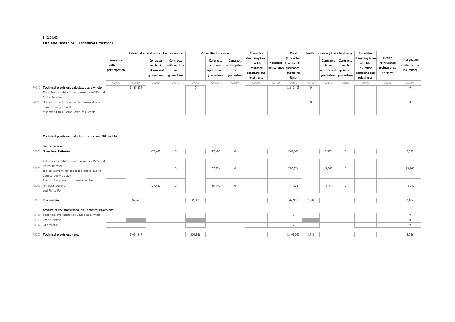#### **S.12.01.02 Life and Health SLT Technical Provisions**

|       |                                                                                                                                                                              |                                           |           | Index-linked and unit-linked insurance            |                                               | Other life insurance |                                                   | Annuities                                     | Total                                                                  | Health insurance (direct business) |                                                  | Annuities    |                      |                                                                      |                                                                        |                                                    |                                                       |
|-------|------------------------------------------------------------------------------------------------------------------------------------------------------------------------------|-------------------------------------------|-----------|---------------------------------------------------|-----------------------------------------------|----------------------|---------------------------------------------------|-----------------------------------------------|------------------------------------------------------------------------|------------------------------------|--------------------------------------------------|--------------|----------------------|----------------------------------------------------------------------|------------------------------------------------------------------------|----------------------------------------------------|-------------------------------------------------------|
|       |                                                                                                                                                                              | Insurance<br>with profit<br>participation |           | Contracts<br>without<br>options and<br>guarantees | Contracts<br>with options<br>or<br>guarantees |                      | Contracts<br>without<br>options and<br>guarantees | Contracts<br>with options<br>or<br>guarantees | stemming from<br>non-life<br>insurance<br>contracts and<br>relating to | Accepted<br>reinsurance insurance, | (Life other<br>than health<br>including<br>Unit- |              | Contracts<br>without | Contracts<br>with<br>options and options or<br>guarantees guarantees | stemming from<br>non-life<br>insurance<br>contracts and<br>relating to | Health<br>reinsurance<br>(reinsurance<br>accepted) | <b>Total (Health</b><br>similar to life<br>insurance) |
|       |                                                                                                                                                                              | C0020                                     | C0030     | C0040                                             | C0050                                         | C0060                | C0070                                             | C0080                                         | C0090                                                                  | C0100                              | C0150                                            | C0160        | C0170                | C0180                                                                | C0190                                                                  | C0200                                              | C0210                                                 |
|       | R0010 Technical provisions calculated as a whole                                                                                                                             |                                           | 2,115,159 |                                                   |                                               | $\mathbf{0}$         |                                                   |                                               |                                                                        |                                    | 2,115,159                                        | $\mathbf{0}$ |                      |                                                                      |                                                                        |                                                    | $\mathbf{0}$                                          |
|       | Total Recoverables from reinsurance/SPV and                                                                                                                                  |                                           |           |                                                   |                                               |                      |                                                   |                                               |                                                                        |                                    |                                                  |              |                      |                                                                      |                                                                        |                                                    |                                                       |
|       | Finite Re after<br>R0020 the adjustment for expected losses due to                                                                                                           |                                           |           |                                                   |                                               | $\mathbf 0$          |                                                   |                                               |                                                                        |                                    | $\mathbf 0$                                      | $\mathbf 0$  |                      |                                                                      |                                                                        |                                                    | $\mathbf 0$                                           |
|       | counterparty default                                                                                                                                                         |                                           |           |                                                   |                                               |                      |                                                   |                                               |                                                                        |                                    |                                                  |              |                      |                                                                      |                                                                        |                                                    |                                                       |
|       | associated to TP calculated as a whole                                                                                                                                       |                                           |           |                                                   |                                               |                      |                                                   |                                               |                                                                        |                                    |                                                  |              |                      |                                                                      |                                                                        |                                                    |                                                       |
|       |                                                                                                                                                                              |                                           |           |                                                   |                                               |                      |                                                   |                                               |                                                                        |                                    |                                                  |              |                      |                                                                      |                                                                        |                                                    |                                                       |
|       | Technical provisions calculated as a sum of BE and RM                                                                                                                        |                                           |           |                                                   |                                               |                      |                                                   |                                               |                                                                        |                                    |                                                  |              |                      |                                                                      |                                                                        |                                                    |                                                       |
|       | <b>Best estimate</b>                                                                                                                                                         |                                           |           |                                                   |                                               |                      |                                                   |                                               |                                                                        |                                    |                                                  |              |                      |                                                                      |                                                                        |                                                    |                                                       |
|       | R0030 Gross Best Estimate                                                                                                                                                    |                                           |           | $-37,482$                                         | $\overline{0}$                                |                      | 277,485                                           | $\mathbf{0}$                                  |                                                                        |                                    | 240,003                                          |              | 5,932                | $\mathbf{0}$                                                         |                                                                        |                                                    | 5,932                                                 |
| R0080 | Total Recoverables from reinsurance/SPV and<br>Finite Re after<br>the adjustment for expected losses due to<br>counterparty default<br>Best estimate minus recoverables from |                                           |           |                                                   | $\overline{0}$                                |                      | 287,924                                           | $\mathbf{0}$                                  |                                                                        |                                    | 287,924                                          |              | 19,245               | $\mathbb O$                                                          |                                                                        |                                                    | 19,245                                                |
|       | R0090 reinsurance/SPV<br>and Finite Re                                                                                                                                       |                                           |           | $-37,482$                                         | $\mathbf 0$                                   |                      | $-10,440$                                         | $\mathbf 0$                                   |                                                                        |                                    | $-47,922$                                        |              | $-13,313$            | $\mathbb O$                                                          |                                                                        |                                                    | $-13,313$                                             |
|       | R0100 Risk margin                                                                                                                                                            |                                           | 16,540    |                                                   |                                               | 31,361               |                                                   |                                               |                                                                        |                                    | 47,902                                           | 2,804        |                      |                                                                      |                                                                        |                                                    | 2,804                                                 |
|       | Amount of the transitional on Technical Provisions                                                                                                                           |                                           |           |                                                   |                                               |                      |                                                   |                                               |                                                                        |                                    |                                                  |              |                      |                                                                      |                                                                        |                                                    |                                                       |
|       | R0110 Technical Provisions calculated as a whole                                                                                                                             |                                           |           |                                                   |                                               |                      |                                                   |                                               |                                                                        |                                    | $\mathbb O$                                      |              |                      |                                                                      |                                                                        |                                                    | $\mathbf 0$                                           |
|       | R0120 Best estimate                                                                                                                                                          |                                           |           |                                                   |                                               |                      |                                                   |                                               |                                                                        |                                    | $\mathbb O$                                      |              |                      |                                                                      |                                                                        |                                                    | $\mathbf 0$                                           |
|       | R0130 Risk margin                                                                                                                                                            |                                           |           |                                                   |                                               |                      |                                                   |                                               |                                                                        |                                    | $\mathbf 0$                                      |              |                      |                                                                      |                                                                        |                                                    | $\mathbf{0}$                                          |
|       | R0200 Technical provisions - total                                                                                                                                           |                                           | 2,094,217 |                                                   |                                               | 308,846              |                                                   |                                               |                                                                        |                                    | 2,403,063                                        | 8,736        |                      |                                                                      |                                                                        |                                                    | 8,736                                                 |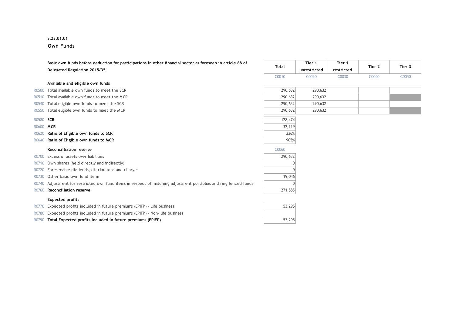#### **S.23.01.01**

**Own Funds**

|           | Basic own funds before deduction for participations in other financial sector as foreseen in article 68 of  |              | Tier 1       | Tier 1     | Tier 2 | Tier 3 |
|-----------|-------------------------------------------------------------------------------------------------------------|--------------|--------------|------------|--------|--------|
|           | Delegated Regulation 2015/35                                                                                | <b>Total</b> | unrestricted | restricted |        |        |
|           |                                                                                                             | C0010        | C0020        | C0030      | C0040  | C0050  |
|           | Available and eligible own funds                                                                            |              |              |            |        |        |
| R0500     | Total available own funds to meet the SCR                                                                   | 290,632      | 290,632      |            |        |        |
| R0510     | Total available own funds to meet the MCR                                                                   | 290,632      | 290,632      |            |        |        |
| R0540     | Total eligible own funds to meet the SCR                                                                    | 290,632      | 290,632      |            |        |        |
| R0550     | Total eligible own funds to meet the MCR                                                                    | 290,632      | 290,632      |            |        |        |
| R0580 SCR |                                                                                                             | 128,474      |              |            |        |        |
| R0600 MCR |                                                                                                             | 32,119       |              |            |        |        |
| R0620     | Ratio of Eligible own funds to SCR                                                                          | 226%         |              |            |        |        |
| R0640     | Ratio of Eligible own funds to MCR                                                                          | 905%         |              |            |        |        |
|           | <b>Reconcilliation reserve</b>                                                                              | C0060        |              |            |        |        |
| R0700     | Excess of assets over liabilities                                                                           | 290,632      |              |            |        |        |
|           | R0710 Own shares (held directly and indirectly)                                                             |              |              |            |        |        |
|           | R0720 Foreseeable dividends, distributions and charges                                                      |              |              |            |        |        |
| R0730     | Other basic own fund items                                                                                  | 19,046       |              |            |        |        |
| R0740     | Adjustment for restricted own fund items in respect of matching adjustment portfolios and ring fenced funds |              |              |            |        |        |
| R0760     | <b>Reconciliation reserve</b>                                                                               | 271,585      |              |            |        |        |
|           | <b>Expected profits</b>                                                                                     |              |              |            |        |        |
| R0770     | Expected profits included in future premiums (EPIFP) - Life business                                        | 53,295       |              |            |        |        |
|           | R0780 Expected profits included in future premiums (EPIFP) - Non- life business                             |              |              |            |        |        |
|           | R0790 Total Expected profits included in future premiums (EPIFP)                                            | 53.295       |              |            |        |        |

| Available and eligible own funds |  |  |  |  |
|----------------------------------|--|--|--|--|
|----------------------------------|--|--|--|--|

- R0510 Total available own funds to meet the MCR
- R0540 Total eligible own funds to meet the SCR
- R0550 Total eligible own funds to meet the MCR
- 
- 
- R0620 **Ratio of Eligible own funds to SCR**
- R0640 **Ratio of Eligible own funds to MCR**

#### **Reconcilliation reserve**

|        | R0700 Excess of assets over liabilities                                                                           | 290.632                     |
|--------|-------------------------------------------------------------------------------------------------------------------|-----------------------------|
|        | R0710 Own shares (held directly and indirectly)                                                                   | $\Omega$                    |
|        | R0720 Foreseeable dividends, distributions and charges                                                            | $\Omega$                    |
|        | R0730 Other basic own fund items                                                                                  | 19,046                      |
|        | R0740 Adjustment for restricted own fund items in respect of matching adjustment portfolios and ring fenced funds | n                           |
| ------ |                                                                                                                   | $\sim$ $\sim$ $\sim$ $\sim$ |

#### **R0760 Reconciliation reserve**

#### **Expected profits**

| R0770 Expected profits included in future premiums (EPIFP) - Life business     | 53.295 |
|--------------------------------------------------------------------------------|--------|
| R0780 Expected profits included in future premiums (EPIFP) - Non-life business |        |
| R0790 Total Expected profits included in future premiums (EPIFP)               | 53.295 |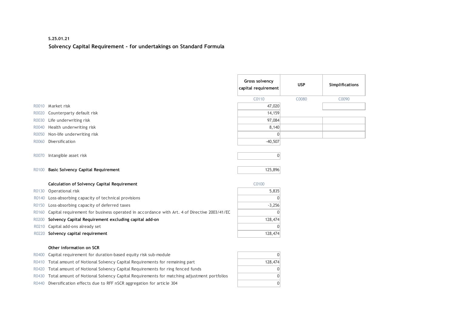## **S.25.01.21 Solvency Capital Requirement - for undertakings on Standard Formula**

|       |                                                                                             | Gross solvency<br>capital requirement | <b>USP</b> | Simplifications |
|-------|---------------------------------------------------------------------------------------------|---------------------------------------|------------|-----------------|
|       |                                                                                             | C0110                                 | C0080      | C0090           |
| R0010 | Market risk                                                                                 | 47,020                                |            |                 |
| R0020 | Counterparty default risk                                                                   | 14,159                                |            |                 |
| R0030 | Life underwriting risk                                                                      | 97,084                                |            |                 |
| R0040 | Health underwriting risk                                                                    | 8,140                                 |            |                 |
| R0050 | Non-life underwriting risk                                                                  | 0                                     |            |                 |
| R0060 | Diversification                                                                             | $-40,507$                             |            |                 |
| R0070 | Intangible asset risk                                                                       | $\overline{0}$                        |            |                 |
| R0100 | <b>Basic Solvency Capital Requirement</b>                                                   | 125,896                               |            |                 |
|       | Calculation of Solvency Capital Requirement                                                 | C0100                                 |            |                 |
| R0130 | Operational risk                                                                            | 5,835                                 |            |                 |
| R0140 | Loss-absorbing capacity of technical provisions                                             |                                       |            |                 |
| R0150 | Loss-absorbing capacity of deferred taxes                                                   | $-3,256$                              |            |                 |
| R0160 | Capital requirement for business operated in accordance with Art. 4 of Directive 2003/41/EC | $\theta$                              |            |                 |
| R0200 | Solvency Capital Requirement excluding capital add-on                                       | 128,474                               |            |                 |
| R0210 | Capital add-ons already set                                                                 | $\Omega$                              |            |                 |
| R0220 | Solvency capital requirement                                                                | 128,474                               |            |                 |
|       | Other information on SCR                                                                    |                                       |            |                 |
| R0400 | Capital requirement for duration-based equity risk sub-module                               | $\mathbf{0}$                          |            |                 |
| R0410 | Total amount of Notional Solvency Capital Requirements for remaining part                   | 128,474                               |            |                 |
| R0420 | Total amount of Notional Solvency Capital Requirements for ring fenced funds                | $\mathbf{0}$                          |            |                 |
| R0430 | Total amount of Notional Solvency Capital Requirements for matching adjustment portfolios   | $\mathbf{0}$                          |            |                 |
| R0440 | Diversification effects due to RFF nSCR aggregation for article 304                         | $\overline{0}$                        |            |                 |